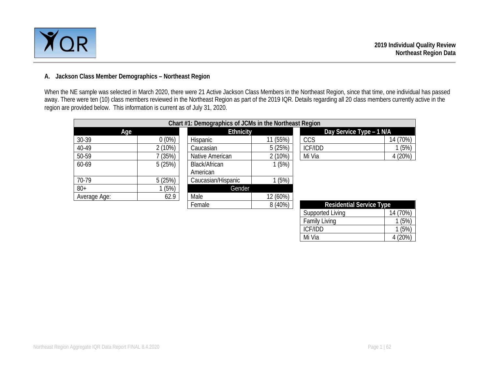

#### **A. Jackson Class Member Demographics – Northeast Region**

When the NE sample was selected in March 2020, there were 21 Active Jackson Class Members in the Northeast Region, since that time, one individual has passed away. There were ten (10) class members reviewed in the Northeast Region as part of the 2019 IQR. Details regarding all 20 class members currently active in the region are provided below. This information is current as of July 31, 2020.

|              |          | Chart #1: Demographics of JCMs in the Northeast Region |          |                          |                                 |  |  |
|--------------|----------|--------------------------------------------------------|----------|--------------------------|---------------------------------|--|--|
| Age          |          | <b>Ethnicity</b>                                       |          | Day Service Type - 1 N/A |                                 |  |  |
| 30-39        | $0(0\%)$ | Hispanic                                               | 11 (55%) | CCS                      | 14 (70%)                        |  |  |
| 40-49        | 2(10%)   | Caucasian                                              | 5(25%)   | ICF/IDD                  | (5%)                            |  |  |
| 50-59        | (35%)    | Native American                                        | 2(10%)   | Mi Via                   | 4(20%)                          |  |  |
| 60-69        | 5(25%)   | Black/African                                          | (5%)     |                          |                                 |  |  |
|              |          | American                                               |          |                          |                                 |  |  |
| 70-79        | 5(25%)   | Caucasian/Hispanic                                     | (5%)     |                          |                                 |  |  |
| $80+$        | (5%)     | Gender                                                 |          |                          |                                 |  |  |
| Average Age: | 62.9     | Male                                                   | 12 (60%) |                          |                                 |  |  |
|              |          | Female                                                 | 8(40%)   |                          | <b>Residential Service Type</b> |  |  |

| <b>Residential Service Type</b> |          |
|---------------------------------|----------|
| Supported Living                | 14 (70%) |
| <b>Family Living</b>            | 1(5%)    |
| <b>ICF/IDD</b>                  | 1(5%)    |
| Mi Via                          | 4 (20%)  |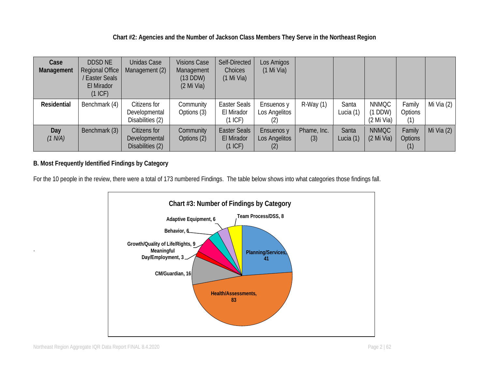## **Chart #2: Agencies and the Number of Jackson Class Members They Serve in the Northeast Region**

| Case<br>Management | <b>DDSD NE</b><br>Regional Office<br><b>Easter Seals</b><br>El Mirador<br>$(1$ ICF) | <b>Unidas Case</b><br>Management (2)              | <b>Visions Case</b><br>Management<br>$(13$ DDW)<br>$(2$ Mi Via) | Self-Directed<br>Choices<br>$(1$ Mi Via)       | Los Amigos<br>$(1$ Mi Via)         |                    |                      |                                    |                          |              |
|--------------------|-------------------------------------------------------------------------------------|---------------------------------------------------|-----------------------------------------------------------------|------------------------------------------------|------------------------------------|--------------------|----------------------|------------------------------------|--------------------------|--------------|
| <b>Residential</b> | Benchmark (4)                                                                       | Citizens for<br>Developmental<br>Disabilities (2) | Community<br>Options (3)                                        | <b>Easter Seals</b><br>El Mirador<br>(1 ICF)   | Ensuenos y<br>Los Angelitos<br>(2) | $R-Way(1)$         | Santa<br>Lucia (1)   | <b>NNMQC</b><br>DDW)<br>(2 Mi Via) | Family<br>Options<br>(1) | Mi Via $(2)$ |
| Day<br>(1 N/A)     | Benchmark (3)                                                                       | Citizens for<br>Developmental<br>Disabilities (2) | Community<br>Options (2)                                        | <b>Easter Seals</b><br>El Mirador<br>$(1$ ICF) | Ensuenos y<br>Los Angelitos<br>(2) | Phame, Inc.<br>(3) | Santa<br>Lucia $(1)$ | <b>NNMQC</b><br>$(2$ Mi Via)       | Family<br>Options<br>(1) | Mi Via $(2)$ |

# **B. Most Frequently Identified Findings by Category**

For the 10 people in the review, there were a total of 173 numbered Findings. The table below shows into what categories those findings fall.

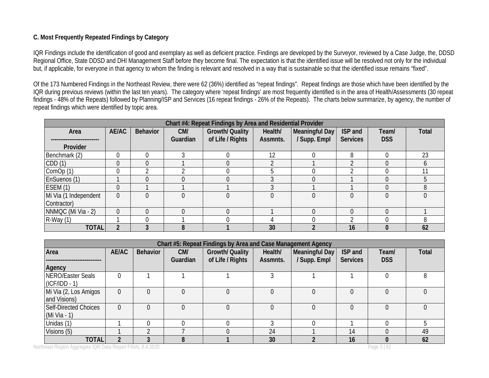## **C. Most Frequently Repeated Findings by Category**

IQR Findings include the identification of good and exemplary as well as deficient practice. Findings are developed by the Surveyor, reviewed by a Case Judge, the, DDSD Regional Office, State DDSD and DHI Management Staff before they become final. The expectation is that the identified issue will be resolved not only for the individual but, if applicable, for everyone in that agency to whom the finding is relevant and resolved in a way that is sustainable so that the identified issue remains "fixed".

Of the 173 Numbered Findings in the Northeast Review, there were 62 (36%) identified as "repeat findings". Repeat findings are those which have been identified by the IQR during previous reviews (within the last ten years). The category where 'repeat findings' are most frequently identified is in the area of Health/Assessments (30 repeat findings - 48% of the Repeats) followed by Planning/ISP and Services (16 repeat findings - 26% of the Repeats). The charts below summarize, by agency, the number of repeat findings which were identified by topic area.

| Chart #4: Repeat Findings by Area and Residential Provider |            |                 |          |                        |           |                |                 |            |       |  |  |  |
|------------------------------------------------------------|------------|-----------------|----------|------------------------|-----------|----------------|-----------------|------------|-------|--|--|--|
| Area                                                       | AE/AC      | <b>Behavior</b> | CM/      | <b>Growth/ Quality</b> | Health/   | Meaningful Day | ISP and         | Team/      | Total |  |  |  |
|                                                            |            |                 | Guardian | of Life / Rights       | Assmnts.  | / Supp. Empl   | <b>Services</b> | <b>DSS</b> |       |  |  |  |
| Provider                                                   |            |                 |          |                        |           |                |                 |            |       |  |  |  |
| Benchmark (2)                                              |            |                 | ◠        |                        | 12        |                | 8               |            | 23    |  |  |  |
| CDD(1)                                                     |            |                 |          |                        | $\bigcap$ |                | ∩               |            |       |  |  |  |
| ComOp (1)                                                  |            |                 |          |                        |           |                |                 |            |       |  |  |  |
| EnSuenos (1)                                               |            |                 |          |                        |           |                |                 |            |       |  |  |  |
| ESEM(1)                                                    | $\sqrt{ }$ |                 |          |                        | $\Omega$  |                |                 |            |       |  |  |  |
| Mi Via (1 Independent                                      | $\Omega$   |                 |          |                        |           |                | $\Omega$        |            |       |  |  |  |
| Contractor)                                                |            |                 |          |                        |           |                |                 |            |       |  |  |  |
| NNMQC (Mi Via - 2)                                         | $\Omega$   |                 |          |                        |           |                | $\Omega$        |            |       |  |  |  |
| $R-Way(1)$                                                 |            |                 |          |                        |           |                | ◠               |            | 8     |  |  |  |
| <b>TOTAL</b>                                               |            |                 | 8        |                        | 30        |                | 16              |            | 62    |  |  |  |

|                                         | Chart #5: Repeat Findings by Area and Case Management Agency |          |          |                        |          |                |                 |            |       |  |  |  |  |
|-----------------------------------------|--------------------------------------------------------------|----------|----------|------------------------|----------|----------------|-----------------|------------|-------|--|--|--|--|
| <b>Behavior</b><br>Area<br>AE/AC<br>CM/ |                                                              |          |          | <b>Growth/ Quality</b> | Health/  | Meaningful Day | ISP and         | Team/      | Total |  |  |  |  |
|                                         |                                                              |          | Guardian | of Life / Rights       | Assmnts. | / Supp. Empl   | <b>Services</b> | <b>DSS</b> |       |  |  |  |  |
| Agency                                  |                                                              |          |          |                        |          |                |                 |            |       |  |  |  |  |
| NERO/Easter Seals                       |                                                              |          |          |                        |          |                |                 | 0          |       |  |  |  |  |
| $(CF/IDD - 1)$                          |                                                              |          |          |                        |          |                |                 |            |       |  |  |  |  |
| Mi Via (2, Los Amigos                   |                                                              |          |          |                        |          |                |                 |            |       |  |  |  |  |
| and Visions)                            |                                                              |          |          |                        |          |                |                 |            |       |  |  |  |  |
| <b>Self-Directed Choices</b>            |                                                              | $\Omega$ |          |                        |          |                | $\Omega$        | 0          |       |  |  |  |  |
| (Mi Via - 1)                            |                                                              |          |          |                        |          |                |                 |            |       |  |  |  |  |
| Unidas (1)                              |                                                              |          |          |                        |          |                |                 |            |       |  |  |  |  |
| Visions (5)                             |                                                              |          |          |                        | 24       |                | 14              | 0          | 49    |  |  |  |  |
| <b>TOTAL</b>                            | າ                                                            |          | 8        |                        | 30       |                | 16              | 0          | 62    |  |  |  |  |

Northeast Region Aggregate IQR Data Report FINAL 8.4.2020 **Page 3** | 62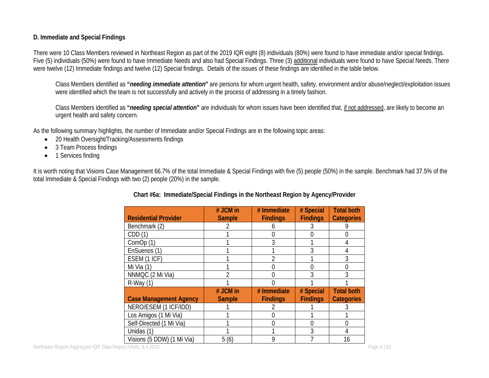#### **D. Immediate and Special Findings**

There were 10 Class Members reviewed in Northeast Region as part of the 2019 IQR eight (8) individuals (80%) were found to have immediate and/or special findings. Five (5) individuals (50%) were found to have Immediate Needs and also had Special Findings. Three (3) additional individuals were found to have Special Needs. There were twelve (12) Immediate findings and twelve (12) Special findings. Details of the issues of these findings are identified in the table below.

Class Members identified as **"***needing immediate attention***"** are persons for whom urgent health, safety, environment and/or abuse/neglect/exploitation issues were identified which the team is not successfully and actively in the process of addressing in a timely fashion.

Class Members identified as **"***needing special attention***"** are individuals for whom issues have been identified that, if not addressed, are likely to become an urgent health and safety concern.

As the following summary highlights, the number of Immediate and/or Special Findings are in the following topic areas:

- 20 Health Oversight/Tracking/Assessments findings
- 3 Team Process findings
- 1 Services finding

It is worth noting that Visions Case Management 66.7% of the total Immediate & Special Findings with five (5) people (50%) in the sample. Benchmark had 37.5% of the total Immediate & Special Findings with two (2) people (20%) in the sample.

| <b>Residential Provider</b>   | # JCM in      | # Immediate     | # Special<br><b>Findings</b> | <b>Total both</b> |
|-------------------------------|---------------|-----------------|------------------------------|-------------------|
|                               | <b>Sample</b> | <b>Findings</b> |                              | <b>Categories</b> |
| Benchmark (2)                 |               |                 |                              |                   |
| CDD(1)                        |               |                 |                              | $\Omega$          |
| ComOp(1)                      |               | 3               |                              | 4                 |
| EnSuenos (1)                  |               |                 | 3                            | 4                 |
| ESEM (1 ICF)                  |               | 2               |                              | 3                 |
| Mi Via (1)                    |               |                 | 0                            | $\Omega$          |
| NNMQC (2 Mi Via)              |               |                 |                              | 3                 |
| $R-Way(1)$                    |               |                 |                              |                   |
|                               | # JCM in      | # Immediate     | # Special                    | <b>Total both</b> |
| <b>Case Management Agency</b> | <b>Sample</b> | <b>Findings</b> | <b>Findings</b>              | <b>Categories</b> |
| NERO/ESEM (1 ICF/IDD)         |               |                 |                              |                   |
| Los Amigos (1 Mi Via)         |               |                 |                              |                   |
| Self-Directed (1 Mi Via)      |               |                 |                              | 0                 |
| Unidas (1)                    |               |                 | 3                            | 4                 |
| Visions (5 DDW) (1 Mi Via)    | 5(6)          | 9               |                              | 16                |

# **Chart #6a: Immediate/Special Findings in the Northeast Region by Agency/Provider**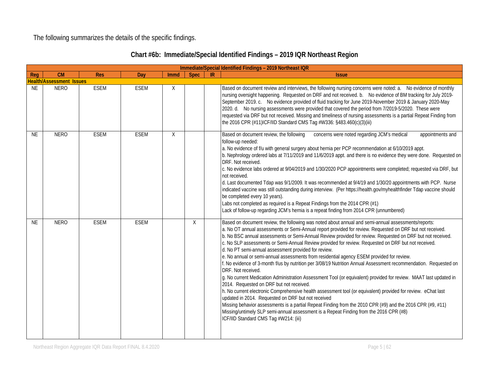The following summarizes the details of the specific findings.

|           |                                 |             |             |             |             |    | Immediate/Special Identified Findings - 2019 Northeast IQR                                                                                                                                                                                                                                                                                                                                                                                                                                                                                                                                                                                                                                                                                                                                                                                                                                                                                                                                                                                                                                                                                                                                                                                                                                                                    |
|-----------|---------------------------------|-------------|-------------|-------------|-------------|----|-------------------------------------------------------------------------------------------------------------------------------------------------------------------------------------------------------------------------------------------------------------------------------------------------------------------------------------------------------------------------------------------------------------------------------------------------------------------------------------------------------------------------------------------------------------------------------------------------------------------------------------------------------------------------------------------------------------------------------------------------------------------------------------------------------------------------------------------------------------------------------------------------------------------------------------------------------------------------------------------------------------------------------------------------------------------------------------------------------------------------------------------------------------------------------------------------------------------------------------------------------------------------------------------------------------------------------|
| Req       | CM                              | <b>Res</b>  | Day         | <b>Immd</b> | <b>Spec</b> | IR | <b>Issue</b>                                                                                                                                                                                                                                                                                                                                                                                                                                                                                                                                                                                                                                                                                                                                                                                                                                                                                                                                                                                                                                                                                                                                                                                                                                                                                                                  |
|           | <b>Health/Assessment Issues</b> |             |             |             |             |    |                                                                                                                                                                                                                                                                                                                                                                                                                                                                                                                                                                                                                                                                                                                                                                                                                                                                                                                                                                                                                                                                                                                                                                                                                                                                                                                               |
| <b>NE</b> | <b>NERO</b>                     | <b>ESEM</b> | <b>ESEM</b> | X           |             |    | Based on document review and interviews, the following nursing concerns were noted: a. No evidence of monthly<br>nursing oversight happening. Requested on DRF and not received. b. No evidence of BM tracking for July 2019-<br>September 2019. c. No evidence provided of fluid tracking for June 2019-November 2019 & January 2020-May<br>2020. d. No nursing assessments were provided that covered the period from 7/2019-5/2020. These were<br>requested via DRF but not received. Missing and timeliness of nursing assessments is a partial Repeat Finding from<br>the 2016 CPR (#11)ICF/IID Standard CMS Tag #W336: §483.460(c)(3)(iii)                                                                                                                                                                                                                                                                                                                                                                                                                                                                                                                                                                                                                                                                              |
| <b>NE</b> | <b>NERO</b>                     | <b>ESEM</b> | <b>ESEM</b> | X           |             |    | Based on document review, the following<br>concerns were noted regarding JCM's medical<br>appointments and<br>follow-up needed:<br>a. No evidence of f/u with general surgery about hernia per PCP recommendation at 6/10/2019 appt.<br>b. Nephrology ordered labs at 7/11/2019 and 11/6/2019 appt. and there is no evidence they were done. Requested on<br>DRF. Not received.<br>c. No evidence labs ordered at 9/04/2019 and 1/30/2020 PCP appointments were completed; requested via DRF, but<br>not received.<br>d. Last documented Tdap was 9/1/2009. It was recommended at 9/4/19 and 1/30/20 appointments with PCP. Nurse<br>indicated vaccine was still outstanding during interview. (Per https://health.gov/myhealthfinder Tdap vaccine should<br>be completed every 10 years).<br>Labs not completed as required is a Repeat Findings from the 2014 CPR (#1)<br>Lack of follow-up regarding JCM's hernia is a repeat finding from 2014 CPR (unnumbered)                                                                                                                                                                                                                                                                                                                                                           |
| <b>NE</b> | <b>NERO</b>                     | <b>ESEM</b> | <b>ESEM</b> |             | X           |    | Based on document review, the following was noted about annual and semi-annual assessments/reports:<br>a. No OT annual assessments or Semi-Annual report provided for review. Requested on DRF but not received.<br>b. No BSC annual assessments or Semi-Annual Review provided for review. Requested on DRF but not received.<br>c. No SLP assessments or Semi-Annual Review provided for review. Requested on DRF but not received.<br>d. No PT semi-annual assessment provided for review.<br>e. No annual or semi-annual assessments from residential agency ESEM provided for review.<br>f. No evidence of 3-month f/us by nutrition per 3/08/19 Nutrition Annual Assessment recommendation. Requested on<br>DRF. Not received.<br>g. No current Medication Administration Assessment Tool (or equivalent) provided for review. MAAT last updated in<br>2014. Requested on DRF but not received.<br>h. No current electronic Comprehensive health assessment tool (or equivalent) provided for review. eChat last<br>updated in 2014. Requested on DRF but not received<br>Missing behavior assessments is a partial Repeat Finding from the 2010 CPR (#9) and the 2016 CPR (#9, #11)<br>Missing/untimely SLP semi-annual assessment is a Repeat Finding from the 2016 CPR (#8)<br>ICF/IID Standard CMS Tag #W214: (iii) |

# **Chart #6b: Immediate/Special Identified Findings – 2019 IQR Northeast Region**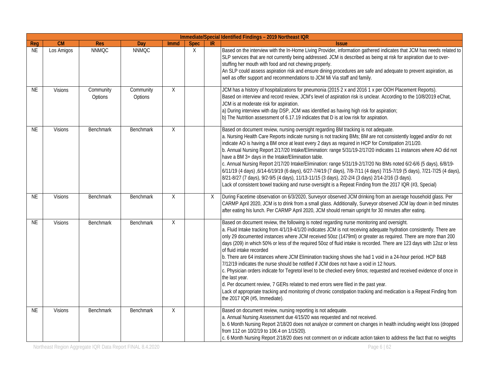|           |                |                      |                      |             |             |    | Immediate/Special Identified Findings - 2019 Northeast IQR                                                                                                                                                                                                                                                                                                                                                                                                                                                                                                                                                                                                                                                                                                                                                                                                                                                                                                                                                                                                                                  |
|-----------|----------------|----------------------|----------------------|-------------|-------------|----|---------------------------------------------------------------------------------------------------------------------------------------------------------------------------------------------------------------------------------------------------------------------------------------------------------------------------------------------------------------------------------------------------------------------------------------------------------------------------------------------------------------------------------------------------------------------------------------------------------------------------------------------------------------------------------------------------------------------------------------------------------------------------------------------------------------------------------------------------------------------------------------------------------------------------------------------------------------------------------------------------------------------------------------------------------------------------------------------|
| Req       | CM             | <b>Res</b>           | Day                  | <b>Immd</b> | <b>Spec</b> | IR | <b>Issue</b>                                                                                                                                                                                                                                                                                                                                                                                                                                                                                                                                                                                                                                                                                                                                                                                                                                                                                                                                                                                                                                                                                |
| <b>NE</b> | Los Amigos     | <b>NNMQC</b>         | <b>NNMQC</b>         |             | X           |    | Based on the interview with the In-Home Living Provider, information gathered indicates that JCM has needs related to<br>SLP services that are not currently being addressed. JCM is described as being at risk for aspiration due to over-<br>stuffing her mouth with food and not chewing properly.<br>An SLP could assess aspiration risk and ensure dining procedures are safe and adequate to prevent aspiration, as<br>well as offer support and recommendations to JCM Mi Via staff and family.                                                                                                                                                                                                                                                                                                                                                                                                                                                                                                                                                                                      |
| NE        | <b>Visions</b> | Community<br>Options | Community<br>Options | X           |             |    | JCM has a history of hospitalizations for pneumonia (2015 2 x and 2016 1 x per OOH Placement Reports).<br>Based on interview and record review, JCM's level of aspiration risk is unclear. According to the 10/8/2019 eChat,<br>JCM is at moderate risk for aspiration.<br>a) During interview with day DSP, JCM was identified as having high risk for aspiration;<br>b) The Nutrition assessment of 6.17.19 indicates that D is at low risk for aspiration.                                                                                                                                                                                                                                                                                                                                                                                                                                                                                                                                                                                                                               |
| NE        | <b>Visions</b> | Benchmark            | <b>Benchmark</b>     | X           |             |    | Based on document review, nursing oversight regarding BM tracking is not adequate.<br>a. Nursing Health Care Reports indicate nursing is not tracking BMs; BM are not consistently logged and/or do not<br>indicate AO is having a BM once at least every 2 days as required in HCP for Constipation 2/11/20.<br>b. Annual Nursing Report 2/17/20 Intake/Elimination: range 5/31/19-2/17/20 indicates 11 instances where AO did not<br>have a BM 3+ days in the Intake/Elimination table.<br>c. Annual Nursing Report 2/17/20 Intake/Elimination: range 5/31/19-2/17/20 No BMs noted 6/2-6/6 (5 days), 6/8/19-<br>6/11/19 (4 days) ,6/14-6/19/19 (6 days), 6/27-7/4/19 (7 days), 7/8-7/11 (4 days) 7/15-7/19 (5 days), 7/21-7/25 (4 days),<br>8/21-8/27 (7 days), 9/2-9/5 (4 days), 11/13-11/15 (3 days), 2/2-2/4 (3 days) 2/14-2/16 (3 days).<br>Lack of consistent bowel tracking and nurse oversight is a Repeat Finding from the 2017 IQR (#3, Special)                                                                                                                                 |
| NE        | <b>Visions</b> | <b>Benchmark</b>     | <b>Benchmark</b>     | X           |             | X  | During Facetime observation on 6/3/2020, Surveyor observed JCM drinking from an average household glass. Per<br>CARMP April 2020, JCM is to drink from a small glass. Additionally, Surveyor observed JCM lay down in bed minutes<br>after eating his lunch. Per CARMP April 2020, JCM should remain upright for 30 minutes after eating.                                                                                                                                                                                                                                                                                                                                                                                                                                                                                                                                                                                                                                                                                                                                                   |
| <b>NE</b> | <b>Visions</b> | Benchmark            | <b>Benchmark</b>     | X           |             |    | Based on document review, the following is noted regarding nurse monitoring and oversight.<br>a. Fluid Intake tracking from 4/1/19-4/1/20 indicates JCM is not receiving adequate hydration consistently. There are<br>only 29 documented instances where JCM received 50oz (1479ml) or greater as required. There are more than 200<br>days (209) in which 50% or less of the required 50oz of fluid intake is recorded. There are 123 days with 12oz or less<br>of fluid intake recorded<br>b. There are 64 instances where JCM Elimination tracking shows she had 1 void in a 24-hour period. HCP B&B<br>7/12/19 indicates the nurse should be notified if JCM does not have a void in 12 hours.<br>c. Physician orders indicate for Tegretol level to be checked every 6mos; requested and received evidence of once in<br>the last year.<br>d. Per document review, 7 GERs related to med errors were filed in the past year.<br>Lack of appropriate tracking and monitoring of chronic constipation tracking and medication is a Repeat Finding from<br>the 2017 IQR (#5, Immediate). |
| <b>NE</b> | <b>Visions</b> | <b>Benchmark</b>     | <b>Benchmark</b>     | X           |             |    | Based on document review, nursing reporting is not adequate.<br>a. Annual Nursing Assessment due 4/15/20 was requested and not received.<br>b. 6 Month Nursing Report 2/18/20 does not analyze or comment on changes in health including weight loss (dropped<br>from 112 on 10/2/19 to 106.4 on 1/15/20).<br>c. 6 Month Nursing Report 2/18/20 does not comment on or indicate action taken to address the fact that no weights                                                                                                                                                                                                                                                                                                                                                                                                                                                                                                                                                                                                                                                            |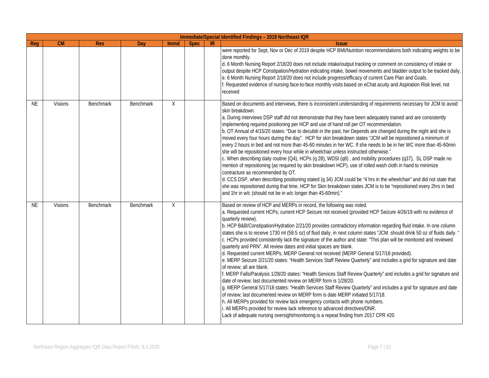|           |                |                  |                  |      |             |           | Immediate/Special Identified Findings - 2019 Northeast IQR                                                                                                                                                                                                                                                                                                                                                                                                                                                                                                                                                                                                                                                                                                                                                                                                                                                                                                                                                                                                                                                                                                                                                                                                                                                                                                                                                                                                                                                                                                               |
|-----------|----------------|------------------|------------------|------|-------------|-----------|--------------------------------------------------------------------------------------------------------------------------------------------------------------------------------------------------------------------------------------------------------------------------------------------------------------------------------------------------------------------------------------------------------------------------------------------------------------------------------------------------------------------------------------------------------------------------------------------------------------------------------------------------------------------------------------------------------------------------------------------------------------------------------------------------------------------------------------------------------------------------------------------------------------------------------------------------------------------------------------------------------------------------------------------------------------------------------------------------------------------------------------------------------------------------------------------------------------------------------------------------------------------------------------------------------------------------------------------------------------------------------------------------------------------------------------------------------------------------------------------------------------------------------------------------------------------------|
| Reg       | CM             | <b>Res</b>       | Day              | Immd | <b>Spec</b> | <b>IR</b> | <b>Issue</b>                                                                                                                                                                                                                                                                                                                                                                                                                                                                                                                                                                                                                                                                                                                                                                                                                                                                                                                                                                                                                                                                                                                                                                                                                                                                                                                                                                                                                                                                                                                                                             |
|           |                |                  |                  |      |             |           | were reported for Sept, Nov or Dec of 2019 despite HCP BMI/Nutrition recommendations both indicating weights to be<br>done monthly.<br>d. 6 Month Nursing Report 2/18/20 does not include intake/output tracking or comment on consistency of intake or<br>output despite HCP Constipation/Hydration indicating intake, bowel movements and bladder output to be tracked daily.<br>e. 6 Month Nursing Report 2/18/20 does not include progress/efficacy of current Care Plan and Goals.<br>f. Requested evidence of nursing face-to-face monthly visits based on eChat acuity and Aspiration Risk level, not<br>received                                                                                                                                                                                                                                                                                                                                                                                                                                                                                                                                                                                                                                                                                                                                                                                                                                                                                                                                                 |
| NE        | <b>Visions</b> | <b>Benchmark</b> | <b>Benchmark</b> | X    |             |           | Based on documents and interviews, there is inconsistent understanding of requirements necessary for JCM to avoid<br>skin breakdown.<br>a. During interviews DSP staff did not demonstrate that they have been adequately trained and are consistently<br>implementing required positioning per HCP and use of hand roll per OT recommendation.<br>b. OT Annual of 4/15/20 states: "Due to decubiti in the past, her Depends are changed during the night and she is<br>moved every four hours during the day". HCP for skin breakdown states "JCM will be repositioned a minimum of<br>every 2 hours in bed and not more than 45-60 minutes in her WC. If she needs to be in her WC more than 45-60min<br>she will be repositioned every hour while in wheelchair unless instructed otherwise."<br>c. When describing daily routine (Q4), HCPs (q 28), WDSI (q8), and mobility procedures (q37), SL DSP made no<br>mention of repositioning (as required by skin breakdown HCP), use of rolled wash cloth in hand to minimize<br>contracture as recommended by OT.<br>d. CCS DSP, when describing positioning stated (q 34) JCM could be "4 hrs in the wheelchair" and did not state that<br>she was repositioned during that time. HCP for Skin breakdown states JCM is to be "repositioned every 2hrs in bed<br>and 1hr in w/c (should not be in w/c longer than 45-60min)."                                                                                                                                                                                          |
| <b>NE</b> | <b>Visions</b> | Benchmark        | Benchmark        | X    |             |           | Based on review of HCP and MERPs in record, the following was noted.<br>a. Requested current HCPs; current HCP Seizure not received (provided HCP Seizure 4/26/19 with no evidence of<br>quarterly review).<br>b. HCP B&B/Constipation/Hydration 2/21/20 provides contradictory information regarding fluid intake. In one column<br>states she is to receive 1730 ml (58.5 oz) of fluid daily, in next column states "JCM. should drink 50 oz of fluids daily. "<br>c. HCPs provided consistently lack the signature of the author and state: "This plan will be monitored and reviewed<br>quarterly and PRN". All review dates and initial spaces are blank.<br>d. Requested current MERPs, MERP General not received (MERP General 5/17/18 provided).<br>e. MERP Seizure 2/21/20 states: "Health Services Staff Review Quarterly" and includes a grid for signature and date<br>of review; all are blank.<br>f. MERP Falls/Paralysis 1/28/20 states: "Health Services Staff Review Quarterly" and includes a grid for signature and<br>date of review; last documented review on MERP form is 1/28/20.<br>g. MERP General 5/17/18 states: "Health Services Staff Review Quarterly" and includes a grid for signature and date<br>of review; last documented review on MERP form is date MERP initiated 5/17/18.<br>h. All MERPs provided for review lack emergency contacts with phone numbers.<br>i. All MERPs provided for review lack reference to advanced directives/DNR.<br>Lack of adequate nursing oversight/monitoring is a repeat finding from 2017 CPR #20 |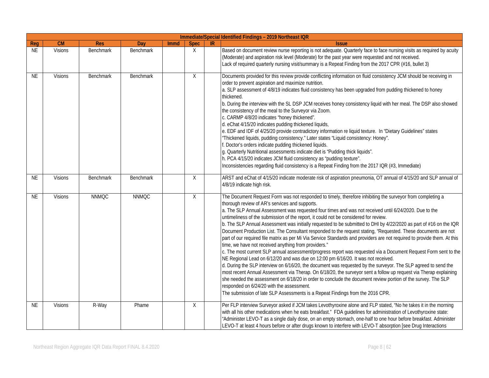|           | Immediate/Special Identified Findings - 2019 Northeast IQR |              |                  |      |             |    |                                                                                                                                                                                                                                                                                                                                                                                                                                                                                                                                                                                                                                                                                                                                                                                                                                                                                                                                                                                                                                                                                                                                                                                                                                                                                                                                                                                                                                                                                          |  |  |  |  |  |
|-----------|------------------------------------------------------------|--------------|------------------|------|-------------|----|------------------------------------------------------------------------------------------------------------------------------------------------------------------------------------------------------------------------------------------------------------------------------------------------------------------------------------------------------------------------------------------------------------------------------------------------------------------------------------------------------------------------------------------------------------------------------------------------------------------------------------------------------------------------------------------------------------------------------------------------------------------------------------------------------------------------------------------------------------------------------------------------------------------------------------------------------------------------------------------------------------------------------------------------------------------------------------------------------------------------------------------------------------------------------------------------------------------------------------------------------------------------------------------------------------------------------------------------------------------------------------------------------------------------------------------------------------------------------------------|--|--|--|--|--|
| Reg       | <b>CM</b>                                                  | <b>Res</b>   | Day              | Immd | <b>Spec</b> | IR | <b>Issue</b>                                                                                                                                                                                                                                                                                                                                                                                                                                                                                                                                                                                                                                                                                                                                                                                                                                                                                                                                                                                                                                                                                                                                                                                                                                                                                                                                                                                                                                                                             |  |  |  |  |  |
| <b>NE</b> | Visions                                                    | Benchmark    | Benchmark        |      | X           |    | Based on document review nurse reporting is not adequate. Quarterly face to face nursing visits as required by acuity<br>(Moderate) and aspiration risk level (Moderate) for the past year were requested and not received.<br>Lack of required quarterly nursing visit/summary is a Repeat Finding from the 2017 CPR (#16, bullet 3)                                                                                                                                                                                                                                                                                                                                                                                                                                                                                                                                                                                                                                                                                                                                                                                                                                                                                                                                                                                                                                                                                                                                                    |  |  |  |  |  |
| NE        | Visions                                                    | Benchmark    | Benchmark        |      | X           |    | Documents provided for this review provide conflicting information on fluid consistency JCM should be receiving in<br>order to prevent aspiration and maximize nutrition.<br>a. SLP assessment of 4/8/19 indicates fluid consistency has been upgraded from pudding thickened to honey<br>thickened.<br>b. During the interview with the SL DSP JCM receives honey consistency liquid with her meal. The DSP also showed<br>the consistency of the meal to the Surveyor via Zoom.<br>c. CARMP 4/8/20 indicates "honey thickened".<br>d. eChat 4/15/20 indicates pudding thickened liquids,<br>e. EDF and IDF of 4/25/20 provide contradictory information re liquid texture. In "Dietary Guidelines" states<br>"Thickened liquids, pudding consistency." Later states "Liquid consistency: Honey".<br>f. Doctor's orders indicate pudding thickened liquids.<br>g. Quarterly Nutritional assessments indicate diet is "Pudding thick liquids".<br>h. PCA 4/15/20 indicates JCM fluid consistency as "pudding texture".<br>Inconsistencies regarding fluid consistency is a Repeat Finding from the 2017 IQR (#3, Immediate)                                                                                                                                                                                                                                                                                                                                                              |  |  |  |  |  |
| <b>NE</b> | <b>Visions</b>                                             | Benchmark    | <b>Benchmark</b> |      | X           |    | ARST and eChat of 4/15/20 indicate moderate risk of aspiration pneumonia, OT annual of 4/15/20 and SLP annual of<br>4/8/19 indicate high risk.                                                                                                                                                                                                                                                                                                                                                                                                                                                                                                                                                                                                                                                                                                                                                                                                                                                                                                                                                                                                                                                                                                                                                                                                                                                                                                                                           |  |  |  |  |  |
| <b>NE</b> | Visions                                                    | <b>NNMQC</b> | <b>NNMQC</b>     |      | X           |    | The Document Request Form was not responded to timely, therefore inhibiting the surveyor from completing a<br>thorough review of AR's services and supports.<br>a. The SLP Annual Assessment was requested four times and was not received until 6/24/2020. Due to the<br>untimeliness of the submission of the report, it could not be considered for review.<br>b. The SLP Annual Assessment was initially requested to be submitted to DHI by 4/22/2020 as part of #16 on the IQR<br>Document Production List. The Consultant responded to the request stating, "Requested. These documents are not<br>part of our required file matrix as per Mi Via Service Standards and providers are not required to provide them. At this<br>time, we have not received anything from providers."<br>c. The most current SLP annual assessment/progress report was requested via a Document Request Form sent to the<br>NE Regional Lead on 6/12/20 and was due on 12:00 pm 6/16/20. It was not received.<br>d. During the SLP interview on 6/16/20, the document was requested by the surveyor. The SLP agreed to send the<br>most recent Annual Assessment via Therap. On 6/18/20, the surveyor sent a follow up request via Therap explaining<br>she needed the assessment on 6/18/20 in order to conclude the document review portion of the survey. The SLP<br>responded on 6/24/20 with the assessment.<br>The submission of late SLP Assessments is a Repeat Findings from the 2016 CPR. |  |  |  |  |  |
| <b>NE</b> | <b>Visions</b>                                             | R-Way        | Phame            |      | $\times$    |    | Per FLP interview Surveyor asked if JCM takes Levothyroxine alone and FLP stated, "No he takes it in the morning<br>with all his other medications when he eats breakfast." FDA guidelines for administration of Levothyroxine state:<br>"Administer LEVO-T as a single daily dose, on an empty stomach, one-half to one hour before breakfast. Administer<br>LEVO-T at least 4 hours before or after drugs known to interfere with LEVO-T absorption [see Drug Interactions                                                                                                                                                                                                                                                                                                                                                                                                                                                                                                                                                                                                                                                                                                                                                                                                                                                                                                                                                                                                             |  |  |  |  |  |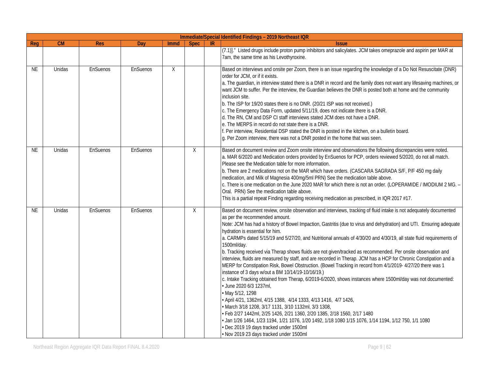|           |        |            | Immediate/Special Identified Findings - 2019 Northeast IQR |      |             |    |                                                                                                                                                                                                                                                                                                                                                                                                                                                                                                                                                                                                                                                                                                                                                                                                                                                                                                                                                                                                                                                                                                                                                                                                                                                                                                                                                                                                                                    |
|-----------|--------|------------|------------------------------------------------------------|------|-------------|----|------------------------------------------------------------------------------------------------------------------------------------------------------------------------------------------------------------------------------------------------------------------------------------------------------------------------------------------------------------------------------------------------------------------------------------------------------------------------------------------------------------------------------------------------------------------------------------------------------------------------------------------------------------------------------------------------------------------------------------------------------------------------------------------------------------------------------------------------------------------------------------------------------------------------------------------------------------------------------------------------------------------------------------------------------------------------------------------------------------------------------------------------------------------------------------------------------------------------------------------------------------------------------------------------------------------------------------------------------------------------------------------------------------------------------------|
| Req       | CM     | <b>Res</b> | Dav                                                        | Immd | <b>Spec</b> | IR | <b>Issue</b>                                                                                                                                                                                                                                                                                                                                                                                                                                                                                                                                                                                                                                                                                                                                                                                                                                                                                                                                                                                                                                                                                                                                                                                                                                                                                                                                                                                                                       |
|           |        |            |                                                            |      |             |    | (7.1)]." Listed drugs include proton pump inhibitors and salicylates. JCM takes omeprazole and aspirin per MAR at<br>7am, the same time as his Levothyroxine.                                                                                                                                                                                                                                                                                                                                                                                                                                                                                                                                                                                                                                                                                                                                                                                                                                                                                                                                                                                                                                                                                                                                                                                                                                                                      |
| <b>NE</b> | Unidas | EnSuenos   | EnSuenos                                                   | X    |             |    | Based on interviews and onsite per Zoom, there is an issue regarding the knowledge of a Do Not Resuscitate (DNR)<br>order for JCM, or if it exists.<br>a. The guardian, in interview stated there is a DNR in record and the family does not want any lifesaving machines, or<br>want JCM to suffer. Per the interview, the Guardian believes the DNR is posted both at home and the community<br>inclusion site.<br>b. The ISP for 19/20 states there is no DNR. (20/21 ISP was not received.)<br>c. The Emergency Data Form, updated 5/11/19, does not indicate there is a DNR.<br>d. The RN, CM and DSP CI staff interviews stated JCM does not have a DNR.<br>e. The MERPS in record do not state there is a DNR.<br>f. Per interview, Residential DSP stated the DNR is posted in the kitchen, on a bulletin board.<br>g. Per Zoom interview, there was not a DNR posted in the home that was seen.                                                                                                                                                                                                                                                                                                                                                                                                                                                                                                                           |
| <b>NE</b> | Unidas | EnSuenos   | EnSuenos                                                   |      | $\sf X$     |    | Based on document review and Zoom onsite interview and observations the following discrepancies were noted.<br>a. MAR 6/2020 and Medication orders provided by EnSuenos for PCP, orders reviewed 5/2020, do not all match.<br>Please see the Medication table for more information.<br>b. There are 2 medications not on the MAR which have orders. (CASCARA SAGRADA S/F, P/F 450 mg daily<br>medication, and Milk of Magnesia 400mg/5ml PRN) See the medication table above.<br>c. There is one medication on the June 2020 MAR for which there is not an order. (LOPERAMIDE / IMODIUM 2 MG. -<br>Oral. PRN) See the medication table above.<br>This is a partial repeat Finding regarding receiving medication as prescribed, in IQR 2017 #17.                                                                                                                                                                                                                                                                                                                                                                                                                                                                                                                                                                                                                                                                                   |
| <b>NE</b> | Unidas | EnSuenos   | EnSuenos                                                   |      | X           |    | Based on document review, onsite observation and interviews, tracking of fluid intake is not adequately documented<br>as per the recommended amount.<br>Note: JCM has had a history of Bowel Impaction, Gastritis (due to virus and dehydration) and UTI. Ensuring adequate<br>hydration is essential for him.<br>a. CARMPs dated 5/15/19 and 5/27/20, and Nutritional annuals of 4/30/20 and 4/30/19, all state fluid requirements of<br>1500ml/day.<br>b. Tracking received via Therap shows fluids are not given/tracked as recommended. Per onsite observation and<br>interview, fluids are measured by staff, and are recorded in Therap. JCM has a HCP for Chronic Constipation and a<br>MERP for Constipation Risk, Bowel Obstruction. (Bowel Tracking in record from 4/1/2019- 4/27/20 there was 1<br>instance of 3 days w/out a BM 10/14/19-10/16/19.)<br>c. Intake Tracking obtained from Therap, 6/2019-6/2020, shows instances where 1500ml/day was not documented:<br>· June 2020 6/3 1237ml,<br>• May 5/12, 1298<br>· April 4/21, 1362ml, 4/15 1388, 4/14 1333, 4/13 1416, 4/7 1426,<br>· March 3/18 1208, 3/17 1131, 3/10 1132ml, 3/3 1308,<br>• Feb 2/27 1442ml, 2/25 1426, 2/21 1360, 2/20 1385, 2/18 1560, 2/17 1480<br>• Jan 1/26 1464, 1/23 1194, 1/21 1076, 1/20 1492, 1/18 1080 1/15 1076, 1/14 1194, 1/12 750, 1/1 1080<br>Dec 2019 19 days tracked under 1500ml<br>· Nov 2019 23 days tracked under 1500ml |

Northeast Region Aggregate IQR Data Report FINAL 8.4.2020 **Page 9 | 62** Page 9 | 62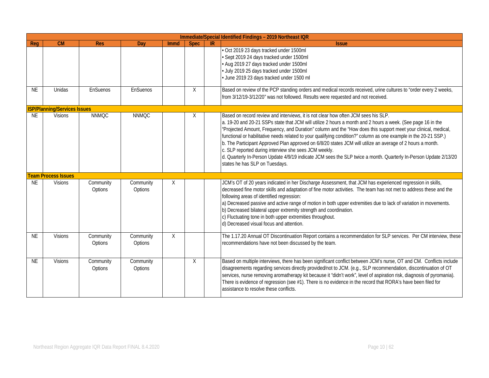|           |                                     |                      |                      |      |             |    | Immediate/Special Identified Findings - 2019 Northeast IQR                                                                                                                                                                                                                                                                                                                                                                                                                                                                                                                                                                                                                                                                                                           |
|-----------|-------------------------------------|----------------------|----------------------|------|-------------|----|----------------------------------------------------------------------------------------------------------------------------------------------------------------------------------------------------------------------------------------------------------------------------------------------------------------------------------------------------------------------------------------------------------------------------------------------------------------------------------------------------------------------------------------------------------------------------------------------------------------------------------------------------------------------------------------------------------------------------------------------------------------------|
| Reg       | CM                                  | <b>Res</b>           | Day                  | Immd | <b>Spec</b> | IR | <b>Issue</b>                                                                                                                                                                                                                                                                                                                                                                                                                                                                                                                                                                                                                                                                                                                                                         |
|           |                                     |                      |                      |      |             |    | Oct 2019 23 days tracked under 1500ml<br>Sept 2019 24 days tracked under 1500ml<br>Aug 2019 27 days tracked under 1500ml<br>July 2019 25 days tracked under 1500ml<br>June 2019 23 days tracked under 1500 ml                                                                                                                                                                                                                                                                                                                                                                                                                                                                                                                                                        |
| <b>NE</b> | Unidas                              | EnSuenos             | EnSuenos             |      | $\sf X$     |    | Based on review of the PCP standing orders and medical records received, urine cultures to "order every 2 weeks,<br>from 3/12/19-3/12/20" was not followed. Results were requested and not received.                                                                                                                                                                                                                                                                                                                                                                                                                                                                                                                                                                 |
|           | <b>ISP/Planning/Services Issues</b> |                      |                      |      |             |    |                                                                                                                                                                                                                                                                                                                                                                                                                                                                                                                                                                                                                                                                                                                                                                      |
| <b>NE</b> | <b>Visions</b>                      | <b>NNMQC</b>         | <b>NNMQC</b>         |      | X           |    | Based on record review and interviews, it is not clear how often JCM sees his SLP.<br>a. 19-20 and 20-21 SSPs state that JCM will utilize 2 hours a month and 2 hours a week. (See page 16 in the<br>"Projected Amount, Frequency, and Duration" column and the "How does this support meet your clinical, medical,<br>functional or habilitative needs related to your qualifying condition?" column as one example in the 20-21 SSP.)<br>b. The Participant Approved Plan approved on 6/8/20 states JCM will utilize an average of 2 hours a month.<br>c. SLP reported during interview she sees JCM weekly.<br>d. Quarterly In-Person Update 4/9/19 indicate JCM sees the SLP twice a month. Quarterly In-Person Update 2/13/20<br>states he has SLP on Tuesdays. |
|           | <b>Team Process Issues</b>          |                      |                      |      |             |    |                                                                                                                                                                                                                                                                                                                                                                                                                                                                                                                                                                                                                                                                                                                                                                      |
| <b>NE</b> | <b>Visions</b>                      | Community<br>Options | Community<br>Options | X    |             |    | JCM's OT of 20 years indicated in her Discharge Assessment, that JCM has experienced regression in skills,<br>decreased fine motor skills and adaptation of fine motor activities. The team has not met to address these and the<br>following areas of identified regression:<br>a) Decreased passive and active range of motion in both upper extremities due to lack of variation in movements.<br>b) Decreased bilateral upper extremity strength and coordination.<br>c) Fluctuating tone in both upper extremities throughout.<br>d) Decreased visual focus and attention.                                                                                                                                                                                      |
| <b>NE</b> | <b>Visions</b>                      | Community<br>Options | Community<br>Options | X    |             |    | The 1.17.20 Annual OT Discontinuation Report contains a recommendation for SLP services. Per CM interview, these<br>recommendations have not been discussed by the team.                                                                                                                                                                                                                                                                                                                                                                                                                                                                                                                                                                                             |
| <b>NE</b> | <b>Visions</b>                      | Community<br>Options | Community<br>Options |      | $\chi$      |    | Based on multiple interviews, there has been significant conflict between JCM's nurse, OT and CM. Conflicts include<br>disagreements regarding services directly provided/not to JCM. (e.g., SLP recommendation, discontinuation of OT<br>services, nurse removing aromatherapy kit because it "didn't work", level of aspiration risk, diagnosis of pyromania).<br>There is evidence of regression (see #1). There is no evidence in the record that RORA's have been filed for<br>assistance to resolve these conflicts.                                                                                                                                                                                                                                           |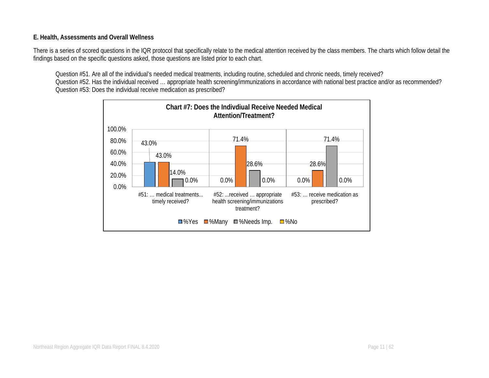#### **E. Health, Assessments and Overall Wellness**

There is a series of scored questions in the IQR protocol that specifically relate to the medical attention received by the class members. The charts which follow detail the findings based on the specific questions asked, those questions are listed prior to each chart.

Question #51. Are all of the individual's needed medical treatments, including routine, scheduled and chronic needs, timely received? Question #52. Has the individual received … appropriate health screening/immunizations in accordance with national best practice and/or as recommended? Question #53: Does the individual receive medication as prescribed?

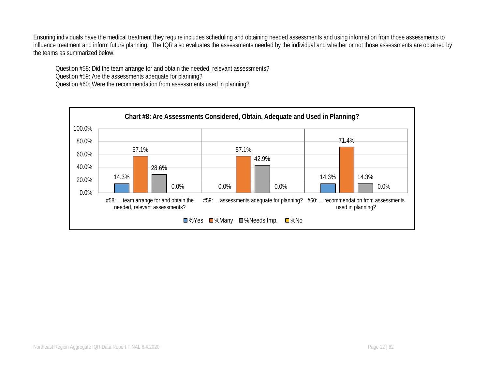Ensuring individuals have the medical treatment they require includes scheduling and obtaining needed assessments and using information from those assessments to influence treatment and inform future planning. The IQR also evaluates the assessments needed by the individual and whether or not those assessments are obtained by the teams as summarized below.

Question #58: Did the team arrange for and obtain the needed, relevant assessments?

Question #59: Are the assessments adequate for planning?

Question #60: Were the recommendation from assessments used in planning?

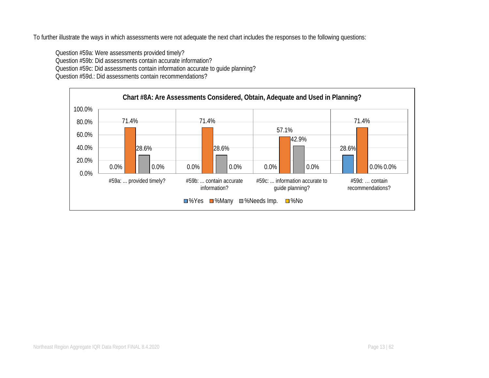To further illustrate the ways in which assessments were not adequate the next chart includes the responses to the following questions:

Question #59a: Were assessments provided timely? Question #59b: Did assessments contain accurate information? Question #59c: Did assessments contain information accurate to guide planning? Question #59d.: Did assessments contain recommendations?

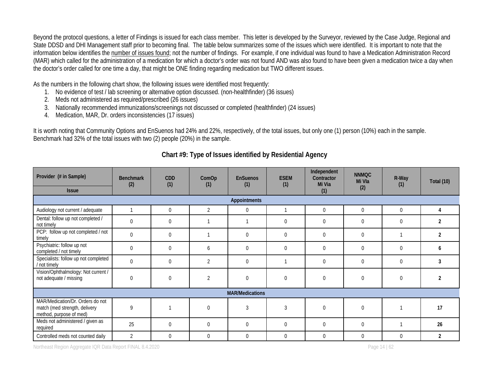Beyond the protocol questions, a letter of Findings is issued for each class member. This letter is developed by the Surveyor, reviewed by the Case Judge, Regional and State DDSD and DHI Management staff prior to becoming final. The table below summarizes some of the issues which were identified. It is important to note that the information below identifies the number of issues found; not the number of findings. For example, if one individual was found to have a Medication Administration Record (MAR) which called for the administration of a medication for which a doctor's order was not found AND was also found to have been given a medication twice a day when the doctor's order called for one time a day, that might be ONE finding regarding medication but TWO different issues.

As the numbers in the following chart show, the following issues were identified most frequently:

- 1. No evidence of test / lab screening or alternative option discussed. (non-healthfinder) (36 issues)
- 2. Meds not administered as required/prescribed (26 issues)
- 3. Nationally recommended immunizations/screenings not discussed or completed (healthfinder) (24 issues)
- 4. Medication, MAR, Dr. orders inconsistencies (17 issues)

It is worth noting that Community Options and EnSuenos had 24% and 22%, respectively, of the total issues, but only one (1) person (10%) each in the sample. Benchmark had 32% of the total issues with two (2) people (20%) in the sample.

| Provider (# in Sample)<br><b>Issue</b>                                                       | <b>Benchmark</b><br>(2) | <b>CDD</b><br>(1) | ComOp<br>(1)   | <b>EnSuenos</b><br>(1) | <b>ESEM</b><br>(1) | Independent<br>Contractor<br>Mi Via<br>(1) | <b>NNMQC</b><br>Mi Vla<br>(2) | R-Way<br>(1) | Total (10)     |
|----------------------------------------------------------------------------------------------|-------------------------|-------------------|----------------|------------------------|--------------------|--------------------------------------------|-------------------------------|--------------|----------------|
|                                                                                              |                         |                   |                | Appointments           |                    |                                            |                               |              |                |
| Audiology not current / adequate                                                             |                         | $\mathbf 0$       | $\overline{2}$ | $\mathbf 0$            |                    | $\Omega$                                   | $\Omega$                      | $\mathbf 0$  | 4              |
| Dental: follow up not completed /<br>not timely                                              | $\theta$                | $\mathbf 0$       |                |                        | $\mathbf 0$        | $\mathbf 0$                                | $\mathbf 0$                   | $\mathbf 0$  | 2              |
| PCP: follow up not completed / not<br>timely                                                 | $\theta$                | $\overline{0}$    |                | $\Omega$               | $\mathbf{0}$       | $\overline{0}$                             | $\theta$                      |              | $\overline{2}$ |
| Psychiatric: follow up not<br>completed / not timely                                         | $\theta$                | $\Omega$          | 6              | $\Omega$               | $\mathbf 0$        | $\Omega$                                   | $\theta$                      | $\Omega$     | h              |
| Specialists: follow up not completed<br>/ not timely                                         | $\overline{0}$          | 0                 | $\overline{2}$ | $\Omega$               |                    | 0                                          | $\theta$                      | $\theta$     | 3              |
| Vision/Ophthalmology: Not current /<br>not adequate / missing                                | $\theta$                | $\mathbf 0$       | $\overline{2}$ | $\Omega$               | $\mathbf{0}$       | $\Omega$                                   | $\theta$                      | $\mathbf 0$  | 2              |
|                                                                                              |                         |                   |                | <b>MAR/Medications</b> |                    |                                            |                               |              |                |
| MAR/Medication/Dr. Orders do not<br>match (med strength, delivery<br>method, purpose of med) | 9                       |                   | $\theta$       | 3                      | 3                  | $\theta$                                   | $\theta$                      |              | 17             |
| Meds not administered / given as<br>required                                                 | 25                      | $\Omega$          | $\theta$       | $\Omega$               | $\mathbf{0}$       | $\Omega$                                   | $\theta$                      |              | 26             |
| Controlled meds not counted daily                                                            | $\overline{2}$          | $\theta$          | $\theta$       | $\Omega$               | $\theta$           | $\theta$                                   | $\theta$                      | $\theta$     | 2              |

# **Chart #9: Type of Issues identified by Residential Agency**

Northeast Region Aggregate IQR Data Report FINAL 8.4.2020 **Page 14** | 62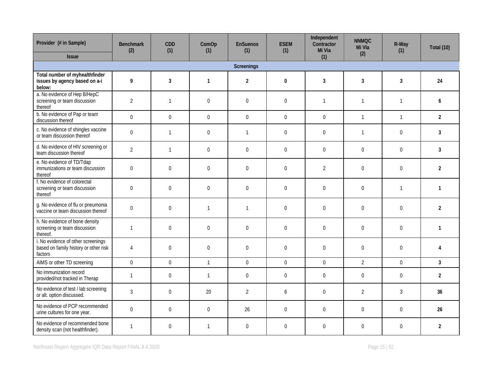| Provider (# in Sample)                                                                 | <b>Benchmark</b><br>(2) | CDD<br>(1)       | ComOp<br>(1)     | <b>EnSuenos</b><br>(1) | <b>ESEM</b><br>(1) | Independent<br>Contractor<br>Mi Via | <b>NNMQC</b><br>Mi Vla<br>(2) | R-Way<br>(1)     | Total (10)     |
|----------------------------------------------------------------------------------------|-------------------------|------------------|------------------|------------------------|--------------------|-------------------------------------|-------------------------------|------------------|----------------|
| <b>Issue</b>                                                                           |                         |                  |                  |                        |                    | (1)                                 |                               |                  |                |
|                                                                                        |                         |                  |                  | Screenings             |                    |                                     |                               |                  |                |
| Total number of myhealthfinder<br>issues by agency based on a-i<br>below:              | 9                       | 3                | $\mathbf{1}$     | $\overline{2}$         | $\bf{0}$           | 3                                   | 3                             | 3                | 24             |
| a. No evidence of Hep B/HepC<br>screening or team discussion<br>thereof                | $\overline{2}$          | $\mathbf{1}$     | $\overline{0}$   | $\mathbf 0$            | $\mathbf 0$        | $\mathbf{1}$                        | $\mathbf{1}$                  | $\mathbf{1}$     | 6              |
| b. No evidence of Pap or team<br>discussion thereof                                    | $\overline{0}$          | $\Omega$         | $\Omega$         | $\Omega$               | $\Omega$           | $\Omega$                            | $\overline{1}$                | $\mathbf{1}$     | $\overline{2}$ |
| c. No evidence of shingles vaccine<br>or team discussion thereof                       | $\boldsymbol{0}$        | $\mathbf{1}$     | $\pmb{0}$        | $\overline{1}$         | $\mathbf 0$        | $\overline{0}$                      | $\mathbf{1}$                  | $\boldsymbol{0}$ | $\mathbf{3}$   |
| d. No evidence of HIV screening or<br>team discussion thereof                          | $\overline{2}$          | $\mathbf{1}$     | $\pmb{0}$        | $\boldsymbol{0}$       | $\mathbf 0$        | $\boldsymbol{0}$                    | $\Omega$                      | $\boldsymbol{0}$ | 3              |
| e. No evidence of TD/Tdap<br>immunizations or team discussion<br>thereof               | $\boldsymbol{0}$        | $\overline{0}$   | $\overline{0}$   | $\mathbf 0$            | $\mathbf{0}$       | $\overline{2}$                      | $\overline{0}$                | $\overline{0}$   | $\overline{2}$ |
| f. No evidence of colorectal<br>screening or team discussion<br>thereof                | $\boldsymbol{0}$        | $\boldsymbol{0}$ | $\pmb{0}$        | $\boldsymbol{0}$       | $\boldsymbol{0}$   | $\boldsymbol{0}$                    | $\overline{0}$                | $\mathbf{1}$     | $\mathbf{1}$   |
| g. No evidence of flu or pneumonia<br>vaccine or team discussion thereof               | $\boldsymbol{0}$        | $\overline{0}$   | $\overline{1}$   | $\overline{1}$         | $\mathbf{0}$       | $\overline{0}$                      | $\Omega$                      | $\overline{0}$   | $\overline{2}$ |
| h. No evidence of bone density<br>screening or team discussion<br>thereof.             | $\mathbf{1}$            | $\overline{0}$   | $\mathbf 0$      | $\boldsymbol{0}$       | $\boldsymbol{0}$   | $\overline{0}$                      | $\overline{0}$                | $\boldsymbol{0}$ | $\mathbf{1}$   |
| i. No evidence of other screenings<br>based on family history or other risk<br>factors | $\overline{4}$          | $\mathbf 0$      | $\mathbf 0$      | $\boldsymbol{0}$       | $\mathbf 0$        | $\boldsymbol{0}$                    | $\Omega$                      | $\boldsymbol{0}$ | 4              |
| AIMS or other TD screening                                                             | $\Omega$                | $\Omega$         | $\mathbf{1}$     | $\Omega$               | $\Omega$           | $\Omega$                            | $\overline{2}$                | $\Omega$         | $\overline{3}$ |
| No immunization record<br>provided/not tracked in Therap                               | $\overline{1}$          | $\overline{0}$   | $\mathbf{1}$     | $\boldsymbol{0}$       | $\boldsymbol{0}$   | $\boldsymbol{0}$                    | $\boldsymbol{0}$              | $\overline{0}$   | $\overline{2}$ |
| No evidence of test / lab screening<br>or alt. option discussed.                       | 3                       | $\boldsymbol{0}$ | 20               | $\overline{2}$         | 6                  | $\boldsymbol{0}$                    | $\overline{2}$                | $\mathfrak{Z}$   | 36             |
| No evidence of PCP recommended<br>urine cultures for one year.                         | $\boldsymbol{0}$        | $\mathbf 0$      | $\boldsymbol{0}$ | 26                     | $\mathbf 0$        | $\mathbf 0$                         | $\Omega$                      | $\boldsymbol{0}$ | 26             |
| No evidence of recommended bone<br>density scan (not healthfinder).                    | $\mathbf{1}$            | $\overline{0}$   | $\overline{1}$   | $\Omega$               | $\overline{0}$     | $\overline{0}$                      | $\Omega$                      | $\Omega$         | $\overline{2}$ |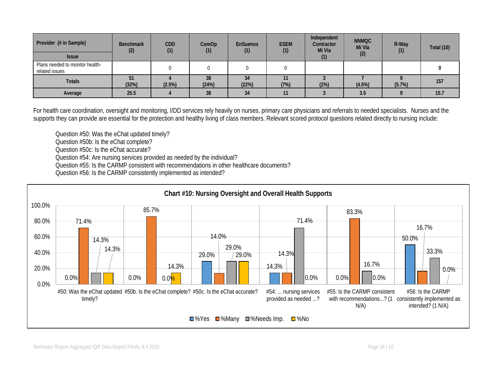| Provider (# in Sample)<br><b>Issue</b>            | <b>Benchmark</b><br>(2) | <b>CDD</b><br>(1) | ComOp<br>(1) | <b>EnSuenos</b><br>(1) | <b>ESEM</b><br>(1) | Independent<br>Contractor<br>Mi Via | <b>NNMQC</b><br>Mi Vla<br>(2) | R-Way<br>(1) | Total (10) |
|---------------------------------------------------|-------------------------|-------------------|--------------|------------------------|--------------------|-------------------------------------|-------------------------------|--------------|------------|
| Plans needed to monitor health-<br>related issues |                         |                   |              |                        |                    |                                     |                               |              |            |
| <b>Totals</b>                                     | 51<br>(32%)             | (2.5%)            | 38<br>(24%)  | 34<br>(22%)            | (7%)               | (2%)                                | (4.5%)                        | (5.7%)       | 157        |
| Average                                           | 25.5                    |                   | 38           | 34                     | 11                 |                                     | 3.5                           |              | 15.7       |

For health care coordination, oversight and monitoring, I/DD services rely heavily on nurses, primary care physicians and referrals to needed specialists. Nurses and the supports they can provide are essential for the protection and healthy living of class members. Relevant scored protocol questions related directly to nursing include:

Question #50: Was the eChat updated timely?

Question #50b: Is the eChat complete?

Question #50c: Is the eChat accurate?

Question #54: Are nursing services provided as needed by the individual?

Question #55: Is the CARMP consistent with recommendations in other healthcare documents?

Question #56: Is the CARMP consistently implemented as intended?

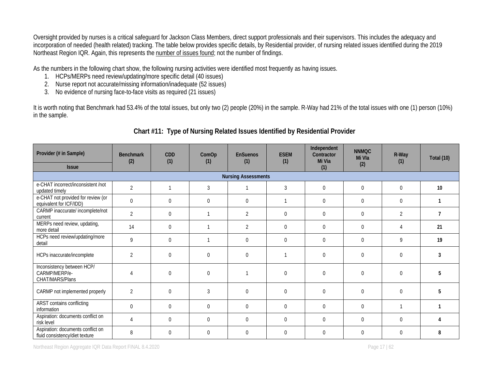Oversight provided by nurses is a critical safeguard for Jackson Class Members, direct support professionals and their supervisors. This includes the adequacy and incorporation of needed (health related) tracking. The table below provides specific details, by Residential provider, of nursing related issues identified during the 2019 Northeast Region IQR. Again, this represents the number of issues found; not the number of findings.

As the numbers in the following chart show, the following nursing activities were identified most frequently as having issues.

- 1. HCPs/MERPs need review/updating/more specific detail (40 issues)
- 2. Nurse report not accurate/missing information/inadequate (52 issues)
- 3. No evidence of nursing face-to-face visits as required (21 issues)

It is worth noting that Benchmark had 53.4% of the total issues, but only two (2) people (20%) in the sample. R-Way had 21% of the total issues with one (1) person (10%) in the sample.

| Provider (# in Sample)                                              | <b>Benchmark</b><br>(2)    | CDD<br>(1) | ComOp<br>(1)   | <b>EnSuenos</b><br>(1) | <b>ESEM</b><br>(1) | Independent<br>Contractor<br>Mi Via | <b>NNMQC</b><br>Mi Vla | R-Way<br>(1)   | Total (10)     |  |  |
|---------------------------------------------------------------------|----------------------------|------------|----------------|------------------------|--------------------|-------------------------------------|------------------------|----------------|----------------|--|--|
| <b>Issue</b>                                                        |                            |            |                |                        |                    | (1)                                 | (2)                    |                |                |  |  |
|                                                                     | <b>Nursing Assessments</b> |            |                |                        |                    |                                     |                        |                |                |  |  |
| e-CHAT incorrect/inconsistent /not<br>updated timely                | $\overline{2}$             |            | $\mathfrak{Z}$ |                        | 3                  | $\overline{0}$                      | $\mathbf 0$            | $\overline{0}$ | 10             |  |  |
| e-CHAT not provided for review (or<br>equivalent for ICF/IDD)       | $\overline{0}$             | 0          | $\mathbf 0$    | $\mathbf{0}$           |                    | $\overline{0}$                      | $\mathbf 0$            | $\overline{0}$ |                |  |  |
| CARMP inaccurate/ incomplete/not<br>current                         | $\overline{2}$             | $\Omega$   |                | $\overline{2}$         | $\mathbf{0}$       | $\Omega$                            | $\overline{0}$         | 2              | $\overline{7}$ |  |  |
| MERPs need review, updating,<br>more detail                         | 14                         | 0          |                | 2                      | $\mathbf 0$        | 0                                   | $\mathbf 0$            |                | 21             |  |  |
| HCPs need review/updating/more<br>detail                            | 9                          | 0          |                | $\overline{0}$         | $\mathbf{0}$       | 0                                   | $\overline{0}$         | 9              | 19             |  |  |
| HCPs inaccurate/incomplete                                          | $\overline{2}$             | $\Omega$   | $\Omega$       | $\overline{0}$         |                    | $\Omega$                            | $\theta$               | $\mathbf 0$    | 3              |  |  |
| Inconsistency between HCP/<br>CARMP/MERP/e-<br>CHAT/MARS/Plans      | $\Delta$                   | 0          | $\mathbf 0$    |                        | $\boldsymbol{0}$   | $\Omega$                            | $\mathbf 0$            | $\overline{0}$ | 5              |  |  |
| CARMP not implemented properly                                      | $\overline{2}$             | $\Omega$   | $\overline{3}$ | $\Omega$               | $\Omega$           | $\Omega$                            | $\Omega$               | $\Omega$       | 5              |  |  |
| <b>ARST</b> contains conflicting<br>information                     | $\Omega$                   | $\Omega$   | $\Omega$       | $\Omega$               | $\mathbf 0$        | $\Omega$                            | $\Omega$               |                |                |  |  |
| Aspiration: documents conflict on<br>risk level                     | $\overline{A}$             | 0          | $\Omega$       | $\Omega$               | $\mathbf{0}$       | $\Omega$                            | $\Omega$               | $\mathbf{0}$   |                |  |  |
| Aspiration: documents conflict on<br>fluid consistency/diet texture | 8                          | 0          | $\Omega$       | 0                      | $\mathbf{0}$       | $\Omega$                            | $\Omega$               | $\mathbf{0}$   | 8              |  |  |

# **Chart #11: Type of Nursing Related Issues Identified by Residential Provider**

Northeast Region Aggregate IQR Data Report FINAL 8.4.2020 **Page 17** | 62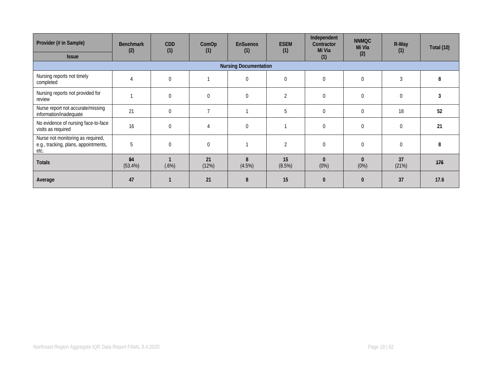| Provider (# in Sample)                                                            | <b>Benchmark</b><br>(2) | <b>CDD</b><br>(1) | ComOp<br>(1)   | <b>EnSuenos</b><br>(1) | <b>ESEM</b><br>(1) | Independent<br>Contractor<br>Mi Via | <b>NNMQC</b><br>Mi Vla | R-Way<br>(1)     | <b>Total (10)</b> |
|-----------------------------------------------------------------------------------|-------------------------|-------------------|----------------|------------------------|--------------------|-------------------------------------|------------------------|------------------|-------------------|
| <b>Issue</b>                                                                      |                         |                   |                |                        |                    | (1)                                 | (2)                    |                  |                   |
| <b>Nursing Documentation</b>                                                      |                         |                   |                |                        |                    |                                     |                        |                  |                   |
| Nursing reports not timely<br>completed                                           |                         | 0                 |                | 0                      | $\mathbf{0}$       | 0                                   | $\overline{0}$         | 3                | 8                 |
| Nursing reports not provided for<br>review                                        |                         | $\Omega$          | $\overline{0}$ | $\overline{0}$         | $\overline{2}$     | $\Omega$                            | $\Omega$               | $\overline{0}$   | 3                 |
| Nurse report not accurate/missing<br>information/inadequate                       | 21                      | 0                 | $\overline{7}$ |                        | 5                  | $\overline{0}$                      | $\overline{0}$         | 18               | 52                |
| No evidence of nursing face-to-face<br>visits as required                         | 16                      | $\Omega$          | $\overline{4}$ | $\pmb{0}$              |                    | $\Omega$                            | $\mathbf 0$            | $\boldsymbol{0}$ | 21                |
| Nurse not monitoring as required,<br>e.g., tracking, plans, appointments,<br>etc. | 5                       | $\Omega$          | $\Omega$       |                        | $\overline{2}$     | $\Omega$                            | $\Omega$               | $\mathbf 0$      | 8                 |
| <b>Totals</b>                                                                     | 94<br>$(53.4\%)$        | (.6%)             | 21<br>(12%)    | 8<br>(4.5%)            | 15<br>(8.5%)       | $\mathbf{0}$<br>(0%)                | $\Omega$<br>(0%)       | 37<br>(21%)      | 176               |
| Average                                                                           | 47                      |                   | 21             | 8                      | 15                 | O                                   | $\Omega$               | 37               | 17.6              |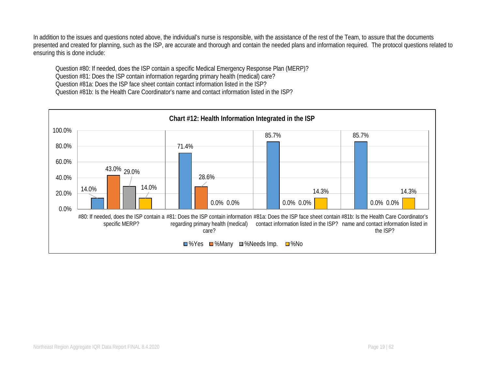In addition to the issues and questions noted above, the individual's nurse is responsible, with the assistance of the rest of the Team, to assure that the documents presented and created for planning, such as the ISP, are accurate and thorough and contain the needed plans and information required. The protocol questions related to ensuring this is done include:

Question #80: If needed, does the ISP contain a specific Medical Emergency Response Plan (MERP)? Question #81: Does the ISP contain information regarding primary health (medical) care? Question #81a: Does the ISP face sheet contain contact information listed in the ISP? Question #81b: Is the Health Care Coordinator's name and contact information listed in the ISP?

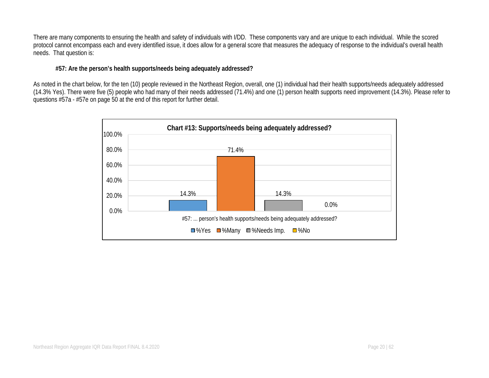There are many components to ensuring the health and safety of individuals with I/DD. These components vary and are unique to each individual. While the scored protocol cannot encompass each and every identified issue, it does allow for a general score that measures the adequacy of response to the individual's overall health needs. That question is:

#### **#57: Are the person's health supports/needs being adequately addressed?**

As noted in the chart below, for the ten (10) people reviewed in the Northeast Region, overall, one (1) individual had their health supports/needs adequately addressed (14.3% Yes). There were five (5) people who had many of their needs addressed (71.4%) and one (1) person health supports need improvement (14.3%). Please refer to questions #57a - #57e on page 50 at the end of this report for further detail.

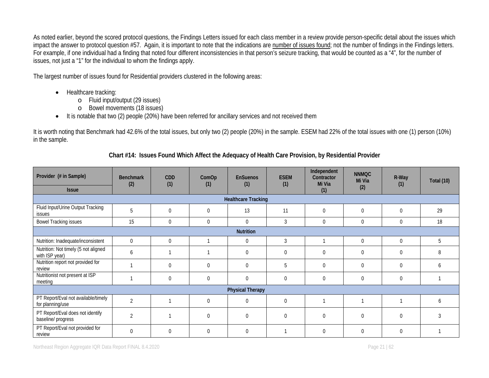As noted earlier, beyond the scored protocol questions, the Findings Letters issued for each class member in a review provide person-specific detail about the issues which impact the answer to protocol question #57. Again, it is important to note that the indications are number of issues found; not the number of findings in the Findings letters. For example, if one individual had a finding that noted four different inconsistencies in that person's seizure tracking, that would be counted as a "4", for the number of issues, not just a "1" for the individual to whom the findings apply.

The largest number of issues found for Residential providers clustered in the following areas:

- Healthcare tracking:
	- o Fluid input/output (29 issues)
	- o Bowel movements (18 issues)
- It is notable that two (2) people (20%) have been referred for ancillary services and not received them

It is worth noting that Benchmark had 42.6% of the total issues, but only two (2) people (20%) in the sample. ESEM had 22% of the total issues with one (1) person (10%) in the sample.

| Provider (# in Sample)                                  | <b>Benchmark</b><br>(2) | CDD<br>(1)       | ComOp<br>(1) | <b>EnSuenos</b><br>(1)     | <b>ESEM</b><br>(1) | Independent<br>Contractor<br>Mi Via | <b>NNMQC</b><br>Mi Via | R-Way<br>(1)   | <b>Total (10)</b> |  |
|---------------------------------------------------------|-------------------------|------------------|--------------|----------------------------|--------------------|-------------------------------------|------------------------|----------------|-------------------|--|
| <b>Issue</b>                                            |                         |                  |              |                            |                    | (1)                                 | (2)                    |                |                   |  |
|                                                         |                         |                  |              | <b>Healthcare Tracking</b> |                    |                                     |                        |                |                   |  |
| Fluid Input/Urine Output Tracking<br>issues             | 5                       | $\Omega$         | $\Omega$     | 13                         | 11                 | $\overline{0}$                      | $\Omega$               | $\theta$       | 29                |  |
| <b>Bowel Tracking issues</b>                            | 15                      | $\boldsymbol{0}$ | $\Omega$     | $\overline{0}$             | $\mathfrak{Z}$     | $\mathbf 0$                         | $\overline{0}$         | $\overline{0}$ | 18                |  |
| <b>Nutrition</b>                                        |                         |                  |              |                            |                    |                                     |                        |                |                   |  |
| Nutrition: Inadequate/inconsistent                      | $\Omega$                | 0                |              | $\mathbf 0$                | 3                  |                                     | $\Omega$               | $\Omega$       | 5                 |  |
| Nutrition: Not timely (5 not aligned<br>with ISP year)  | 6                       |                  |              | $\mathbf 0$                | $\mathbf 0$        | $\overline{0}$                      | $\Omega$               | $\mathbf 0$    | 8                 |  |
| Nutrition report not provided for<br>review             |                         | 0                | $\Omega$     | $\overline{0}$             | 5                  | $\Omega$                            | $\Omega$               | $\theta$       | <sub>b</sub>      |  |
| Nutritionist not present at ISP<br>meeting              |                         | 0                | $\mathbf{0}$ | $\mathbf 0$                | $\boldsymbol{0}$   | $\mathbf 0$                         | $\mathbf 0$            | $\mathbf 0$    |                   |  |
|                                                         |                         |                  |              | <b>Physical Therapy</b>    |                    |                                     |                        |                |                   |  |
| PT Report/Eval not available/timely<br>for planning/use | $\overline{2}$          | 1                | $\Omega$     | $\mathbf{0}$               | $\overline{0}$     |                                     |                        |                | <sub>6</sub>      |  |
| PT Report/Eval does not identify<br>baseline/ progress  | $\overline{2}$          |                  | $\Omega$     | $\mathbf 0$                | $\boldsymbol{0}$   | $\mathbf 0$                         | $\Omega$               | $\overline{0}$ |                   |  |
| PT Report/Eval not provided for<br>review               | $\Omega$                | $\Omega$         | $\Omega$     | $\theta$                   |                    | $\Omega$                            | $\Omega$               | $\theta$       |                   |  |

## **Chart #14: Issues Found Which Affect the Adequacy of Health Care Provision, by Residential Provider**

Northeast Region Aggregate IQR Data Report FINAL 8.4.2020 **Page 21 | 62** Page 21 | 62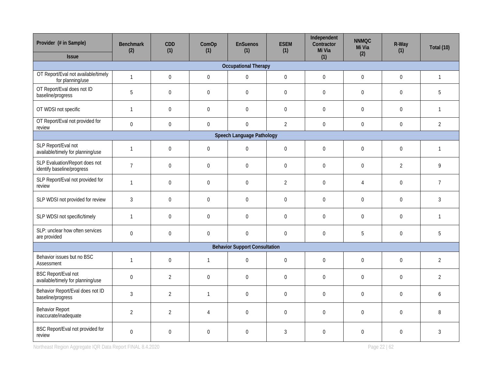| Provider (# in Sample)<br><b>Issue</b>                          | <b>Benchmark</b><br>(2) | CDD<br>(1)       | ComOp<br>(1)     | <b>EnSuenos</b><br>(1)               | <b>ESEM</b><br>(1) | Independent<br>Contractor<br>Mi Via | <b>NNMQC</b><br>Mi Via<br>(2) | R-Way<br>(1)     | Total (10)     |  |
|-----------------------------------------------------------------|-------------------------|------------------|------------------|--------------------------------------|--------------------|-------------------------------------|-------------------------------|------------------|----------------|--|
|                                                                 |                         |                  |                  | <b>Occupational Therapy</b>          |                    | (1)                                 |                               |                  |                |  |
| OT Report/Eval not available/timely<br>for planning/use         | $\mathbf{1}$            | $\boldsymbol{0}$ | $\boldsymbol{0}$ | $\boldsymbol{0}$                     | $\boldsymbol{0}$   | $\boldsymbol{0}$                    | $\boldsymbol{0}$              | $\boldsymbol{0}$ | $\mathbf{1}$   |  |
| OT Report/Eval does not ID<br>baseline/progress                 | 5                       | $\boldsymbol{0}$ | $\boldsymbol{0}$ | $\boldsymbol{0}$                     | $\boldsymbol{0}$   | $\boldsymbol{0}$                    | $\Omega$                      | $\boldsymbol{0}$ | 5              |  |
| OT WDSI not specific                                            | $\mathbf{1}$            | $\mathbf 0$      | $\boldsymbol{0}$ | $\mathbf 0$                          | $\boldsymbol{0}$   | $\boldsymbol{0}$                    | $\boldsymbol{0}$              | $\boldsymbol{0}$ | $\mathbf{1}$   |  |
| OT Report/Eval not provided for<br>review                       | $\boldsymbol{0}$        | $\boldsymbol{0}$ | $\boldsymbol{0}$ | $\boldsymbol{0}$                     | $\overline{2}$     | $\mathbf 0$                         | $\boldsymbol{0}$              | $\boldsymbol{0}$ | $\overline{2}$ |  |
| Speech Language Pathology                                       |                         |                  |                  |                                      |                    |                                     |                               |                  |                |  |
| SLP Report/Eval not<br>available/timely for planning/use        | $\mathbf{1}$            | $\mathbf 0$      | $\mathbf 0$      | $\boldsymbol{0}$                     | $\boldsymbol{0}$   | $\boldsymbol{0}$                    | $\boldsymbol{0}$              | $\boldsymbol{0}$ | $\mathbf{1}$   |  |
| SLP Evaluation/Report does not<br>identify baseline/progress    | $\overline{7}$          | $\boldsymbol{0}$ | $\boldsymbol{0}$ | $\pmb{0}$                            | $\pmb{0}$          | $\boldsymbol{0}$                    | $\overline{0}$                | $\overline{2}$   | 9              |  |
| SLP Report/Eval not provided for<br>review                      | $\mathbf{1}$            | $\boldsymbol{0}$ | $\pmb{0}$        | $\boldsymbol{0}$                     | $\overline{2}$     | $\boldsymbol{0}$                    | 4                             | $\boldsymbol{0}$ | $\overline{7}$ |  |
| SLP WDSI not provided for review                                | $\mathfrak{Z}$          | $\mathbf 0$      | $\boldsymbol{0}$ | $\mathbf 0$                          | $\boldsymbol{0}$   | $\boldsymbol{0}$                    | $\mathbf 0$                   | $\overline{0}$   | 3              |  |
| SLP WDSI not specific/timely                                    | $\mathbf{1}$            | $\mathbf 0$      | $\boldsymbol{0}$ | $\boldsymbol{0}$                     | $\boldsymbol{0}$   | $\mathbf 0$                         | $\boldsymbol{0}$              | $\boldsymbol{0}$ | $\overline{1}$ |  |
| SLP: unclear how often services<br>are provided                 | $\mathbf 0$             | $\boldsymbol{0}$ | $\boldsymbol{0}$ | $\boldsymbol{0}$                     | $\boldsymbol{0}$   | $\boldsymbol{0}$                    | 5                             | $\boldsymbol{0}$ | 5              |  |
|                                                                 |                         |                  |                  | <b>Behavior Support Consultation</b> |                    |                                     |                               |                  |                |  |
| Behavior issues but no BSC<br>Assessment                        | $\mathbf{1}$            | $\mathbf 0$      | $\mathbf{1}$     | $\boldsymbol{0}$                     | $\boldsymbol{0}$   | $\mathbf 0$                         | $\boldsymbol{0}$              | $\mathbf 0$      | $\overline{2}$ |  |
| <b>BSC Report/Eval not</b><br>available/timely for planning/use | $\overline{0}$          | $\overline{2}$   | $\mathbf{0}$     | $\overline{0}$                       | $\boldsymbol{0}$   | $\boldsymbol{0}$                    | $\Omega$                      | $\boldsymbol{0}$ | $\overline{2}$ |  |
| Behavior Report/Eval does not ID<br>baseline/progress           | 3                       | $\overline{2}$   | $\mathbf{1}$     | $\mathbf 0$                          | $\boldsymbol{0}$   | $\mathbf 0$                         | $\Omega$                      | $\overline{0}$   | 6              |  |
| <b>Behavior Report</b><br>inaccurate/inadequate                 | $\overline{2}$          | $\overline{2}$   | 4                | $\boldsymbol{0}$                     | $\boldsymbol{0}$   | $\boldsymbol{0}$                    | $\boldsymbol{0}$              | $\boldsymbol{0}$ | 8              |  |
| BSC Report/Eval not provided for<br>review                      | $\boldsymbol{0}$        | 0                | $\Omega$         | $\boldsymbol{0}$                     | $\mathfrak z$      | 0                                   | $\mathbf 0$                   | $\overline{0}$   | 3              |  |

Northeast Region Aggregate IQR Data Report FINAL 8.4.2020 **Page 22 | 62** Page 22 | 62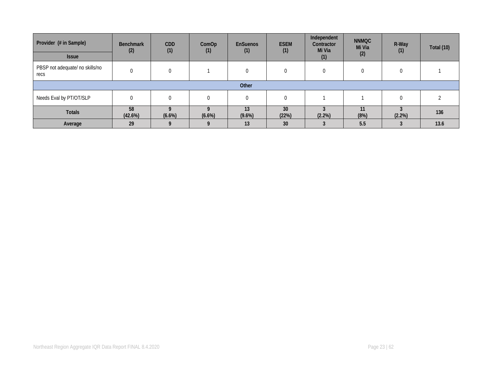| Provider (# in Sample)                  | <b>Benchmark</b><br>(2) | <b>CDD</b> | ComOp  | <b>EnSuenos</b><br>(1) | <b>ESEM</b><br>(1) | Independent<br>Contractor<br>Mi Via | <b>NNMQC</b><br>Mi Via | R-Way<br>(1) | Total (10) |
|-----------------------------------------|-------------------------|------------|--------|------------------------|--------------------|-------------------------------------|------------------------|--------------|------------|
| <b>Issue</b>                            |                         | (1)        | (1)    |                        |                    | (1)                                 | (2)                    |              |            |
| PBSP not adequate/ no skills/no<br>recs |                         |            |        | $\Omega$               | $\left( 0 \right)$ |                                     | $\Omega$               |              |            |
|                                         |                         |            |        | Other                  |                    |                                     |                        |              |            |
| Needs Eval by PT/OT/SLP                 |                         |            |        |                        | 0                  |                                     |                        |              |            |
| <b>Totals</b>                           | 58<br>(42.6%)           | $(6.6\%)$  | (6.6%) | 13<br>$(9.6\%)$        | 30<br>(22%)        | (2.2%)                              | 11<br>(8%)             | $(2.2\%)$    | 136        |
| Average                                 | 29                      |            |        | 13                     | 30                 |                                     | 5.5                    |              | 13.6       |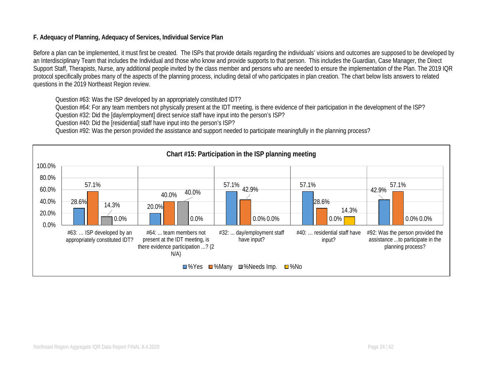## **F. Adequacy of Planning, Adequacy of Services, Individual Service Plan**

Before a plan can be implemented, it must first be created. The ISPs that provide details regarding the individuals' visions and outcomes are supposed to be developed by an Interdisciplinary Team that includes the Individual and those who know and provide supports to that person. This includes the Guardian, Case Manager, the Direct Support Staff, Therapists, Nurse, any additional people invited by the class member and persons who are needed to ensure the implementation of the Plan. The 2019 IQR protocol specifically probes many of the aspects of the planning process, including detail of who participates in plan creation. The chart below lists answers to related questions in the 2019 Northeast Region review.

Question #63: Was the ISP developed by an appropriately constituted IDT?

Question #64: For any team members not physically present at the IDT meeting, is there evidence of their participation in the development of the ISP?

Question #32: Did the [day/employment] direct service staff have input into the person's ISP?

Question #40: Did the [residential] staff have input into the person's ISP?

Question #92: Was the person provided the assistance and support needed to participate meaningfully in the planning process?

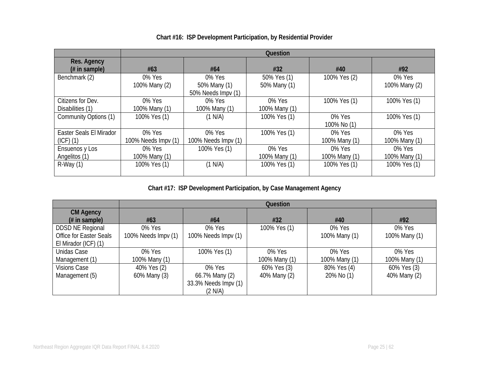|                         |                     |                     | <b>Question</b> |               |               |
|-------------------------|---------------------|---------------------|-----------------|---------------|---------------|
| Res. Agency             |                     |                     |                 |               |               |
| $#$ in sample)          | #63                 | #64                 | #32             | #40           | #92           |
| Benchmark (2)           | 0% Yes              | 0% Yes              | 50% Yes (1)     | 100% Yes (2)  | 0% Yes        |
|                         | 100% Many (2)       | 50% Many (1)        | 50% Many (1)    |               | 100% Many (2) |
|                         |                     | 50% Needs Impv (1)  |                 |               |               |
| Citizens for Dev.       | 0% Yes              | 0% Yes              | 0% Yes          | 100% Yes (1)  | 100% Yes (1)  |
| Disabilities (1)        | 100% Many (1)       | 100% Many (1)       | 100% Many (1)   |               |               |
| Community Options (1)   | 100% Yes (1)        | (1 N/A)             | 100% Yes (1)    | 0% Yes        | 100% Yes (1)  |
|                         |                     |                     |                 | 100% No (1)   |               |
| Easter Seals El Mirador | 0% Yes              | 0% Yes              | 100% Yes (1)    | 0% Yes        | 0% Yes        |
| $(ICF)$ $(1)$           | 100% Needs Impv (1) | 100% Needs Impv (1) |                 | 100% Many (1) | 100% Many (1) |
| Ensuenos y Los          | 0% Yes              | 100% Yes (1)        | 0% Yes          | 0% Yes        | 0% Yes        |
| Angelitos (1)           | 100% Many (1)       |                     | 100% Many (1)   | 100% Many (1) | 100% Many (1) |
| $R-Way(1)$              | 100% Yes (1)        | (1 N/A)             | 100% Yes (1)    | 100% Yes (1)  | 100% Yes (1)  |
|                         |                     |                     |                 |               |               |

# **Chart #16: ISP Development Participation, by Residential Provider**

**Chart #17: ISP Development Participation, by Case Management Agency**

|                                    |                     |                      | Question      |               |               |
|------------------------------------|---------------------|----------------------|---------------|---------------|---------------|
| <b>CM Agency</b><br>$#$ in sample) | #63                 | #64                  | #32           | #40           | #92           |
| <b>DDSD NE Regional</b>            | 0% Yes              | 0% Yes               | 100% Yes (1)  | 0% Yes        | 0% Yes        |
| Office for Easter Seals            | 100% Needs Impv (1) | 100% Needs Impv (1)  |               | 100% Many (1) | 100% Many (1) |
| El Mirador (ICF) (1)               |                     |                      |               |               |               |
| Unidas Case                        | 0% Yes              | 100% Yes (1)         | 0% Yes        | 0% Yes        | 0% Yes        |
| Management (1)                     | 100% Many (1)       |                      | 100% Many (1) | 100% Many (1) | 100% Many (1) |
| <b>Visions Case</b>                | 40% Yes (2)         | 0% Yes               | 60% Yes (3)   | 80% Yes (4)   | 60% Yes (3)   |
| Management (5)                     | 60% Many (3)        | 66.7% Many (2)       | 40% Many (2)  | 20% No (1)    | 40% Many (2)  |
|                                    |                     | 33.3% Needs Impv (1) |               |               |               |
|                                    |                     | (2 N/A)              |               |               |               |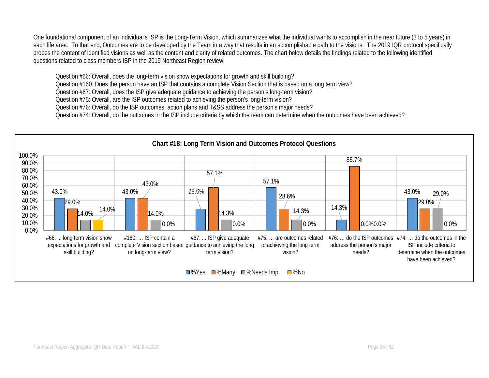One foundational component of an individual's ISP is the Long-Term Vision, which summarizes what the individual wants to accomplish in the near future (3 to 5 years) in each life area. To that end, Outcomes are to be developed by the Team in a way that results in an accomplishable path to the visions. The 2019 IQR protocol specifically probes the content of identified visions as well as the content and clarity of related outcomes. The chart below details the findings related to the following identified questions related to class members ISP in the 2019 Northeast Region review.

Question #66: Overall, does the long-term vision show expectations for growth and skill building?

Question #160: Does the person have an ISP that contains a complete Vision Section that is based on a long term view?

Question #67: Overall, does the ISP give adequate guidance to achieving the person's long-term vision?

Question #75: Overall, are the ISP outcomes related to achieving the person's long-term vision?

Question #76: Overall, do the ISP outcomes, action plans and T&SS address the person's major needs?

Question #74: Overall, do the outcomes in the ISP include criteria by which the team can determine when the outcomes have been achieved?

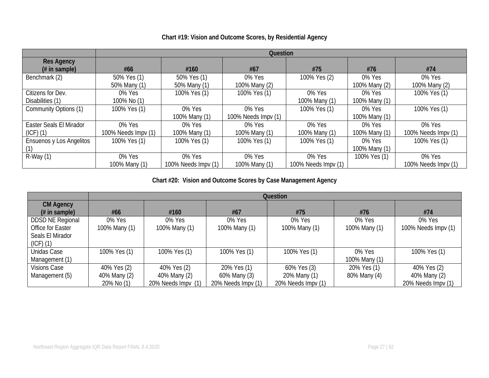#### **Question Res Agency (# in sample) #66 #160 #67 #75 #76 #74** Benchmark (2) 50% Yes (1) 50% Many (1) 50% Yes (1) 50% Many (1)<br>100% Yes (1) 0% Yes 100% Many (2) 100% Yes (2) 0% Yes 100% Many (2) 0% Yes 100% Many (2) Citizens for Dev. Disabilities (1) 0% Yes 100% No (1)<br>100% Yes (1) 100% Yes (1) 0% Yes 100% Many (1) 0% Yes 100% Many (1)<br>0% Yes 100% Yes (1) Community Options (1) 100% Yes (1) 0% Yes 100% Many (1) 0% Yes 100% Needs Impv (1) 100% Yes (1) 100% Many (1) 100% Yes (1) Easter Seals El Mirador (ICF) (1) 0% Yes 100% Needs Impv (1) 0% Yes 100% Many (1) 0% Yes 100% Many (1) 0% Yes 100% Many (1) 0% Yes 100% Many (1) 0% Yes 100% Needs Impv (1) Ensuenos y Los Angelitos (1) 100% Yes (1) 100% Yes (1) 100% Yes (1) 100% Yes (1) 0% Yes 100% Many (1) 100% Yes (1) R-Way (1) 0% Yes 100% Many (1) 0% Yes 100% Needs Impv (1) 0% Yes 100% Many (1) 0% Yes 100% Needs Impv (1) 100% Yes (1) 0% Yes 100% Needs Impv (1)

#### **Chart #19: Vision and Outcome Scores, by Residential Agency**

**Chart #20: Vision and Outcome Scores by Case Management Agency**

|                                                                                   |                                           |                                                   |                                                   | Question                                          |                             |                                                   |
|-----------------------------------------------------------------------------------|-------------------------------------------|---------------------------------------------------|---------------------------------------------------|---------------------------------------------------|-----------------------------|---------------------------------------------------|
| <b>CM Agency</b><br>$#$ in sample)                                                | #66                                       | #160                                              | #67                                               | #75                                               | #76                         | #74                                               |
| <b>DDSD NE Regional</b><br>Office for Easter<br>Seals El Mirador<br>$(ICF)$ $(1)$ | 0% Yes<br>100% Many (1)                   | 0% Yes<br>100% Many (1)                           | 0% Yes<br>100% Many (1)                           | 0% Yes<br>100% Many (1)                           | 0% Yes<br>100% Many (1)     | 0% Yes<br>100% Needs Impv (1)                     |
| Unidas Case<br>Management (1)                                                     | 100% Yes (1)                              | 100% Yes (1)                                      | 100% Yes (1)                                      | 100% Yes (1)                                      | 0% Yes<br>100% Many (1)     | 100% Yes (1)                                      |
| <b>Visions Case</b><br>Management (5)                                             | 40% Yes (2)<br>40% Many (2)<br>20% No (1) | 40% Yes (2)<br>40% Many (2)<br>20% Needs Impv (1) | 20% Yes (1)<br>60% Many (3)<br>20% Needs Impv (1) | 60% Yes (3)<br>20% Many (1)<br>20% Needs Impv (1) | 20% Yes (1)<br>80% Many (4) | 40% Yes (2)<br>40% Many (2)<br>20% Needs Impv (1) |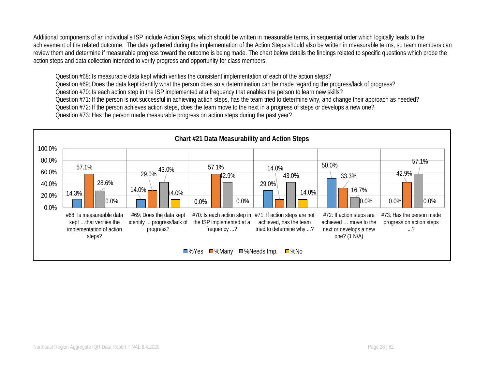Additional components of an individual's ISP include Action Steps, which should be written in measurable terms, in sequential order which logically leads to the achievement of the related outcome. The data gathered during the implementation of the Action Steps should also be written in measurable terms, so team members can review them and determine if measurable progress toward the outcome is being made. The chart below details the findings related to specific questions which probe the action steps and data collection intended to verify progress and opportunity for class members.

Question #68: Is measurable data kept which verifies the consistent implementation of each of the action steps? Question #69: Does the data kept identify what the person does so a determination can be made regarding the progress/lack of progress? Question #70: Is each action step in the ISP implemented at a frequency that enables the person to learn new skills? Question #71: If the person is not successful in achieving action steps, has the team tried to determine why, and change their approach as needed? Question #72: If the person achieves action steps, does the team move to the next in a progress of steps or develops a new one? Question #73: Has the person made measurable progress on action steps during the past year?

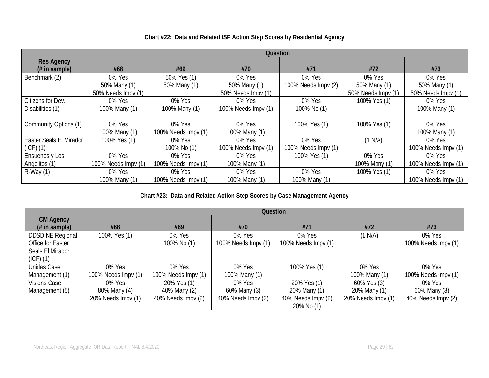|                                     |                                    |                     | Question                           |                     |                                    |                                    |
|-------------------------------------|------------------------------------|---------------------|------------------------------------|---------------------|------------------------------------|------------------------------------|
| <b>Res Agency</b><br>$#$ in sample) | #68                                | #69                 | #70                                | #71                 | #72                                | #73                                |
| Benchmark (2)                       | 0% Yes                             | 50% Yes (1)         | 0% Yes                             | 0% Yes              | 0% Yes                             | 0% Yes                             |
|                                     | 50% Many (1)<br>50% Needs Impv (1) | 50% Many (1)        | 50% Many (1)<br>50% Needs Impv (1) | 100% Needs Impv (2) | 50% Many (1)<br>50% Needs Impv (1) | 50% Many (1)<br>50% Needs Impv (1) |
| Citizens for Dev.                   | 0% Yes                             | 0% Yes              | 0% Yes                             | 0% Yes              | 100% Yes (1)                       | 0% Yes                             |
| Disabilities (1)                    | 100% Many (1)                      | 100% Many (1)       | 100% Needs Impv (1)                | 100% No (1)         |                                    | 100% Many (1)                      |
|                                     |                                    |                     |                                    |                     |                                    |                                    |
| Community Options (1)               | 0% Yes                             | 0% Yes              | 0% Yes                             | 100% Yes (1)        | 100% Yes (1)                       | 0% Yes                             |
|                                     | 100% Many (1)                      | 100% Needs Impv (1) | 100% Many (1)                      |                     |                                    | 100% Many (1)                      |
| Easter Seals El Mirador             | 100% Yes (1)                       | 0% Yes              | 0% Yes                             | 0% Yes              | (1 N/A)                            | 0% Yes                             |
| $(ICF)$ $(1)$                       |                                    | 100% No (1)         | 100% Needs Impv (1)                | 100% Needs Impv (1) |                                    | 100% Needs Impv (1)                |
| Ensuenos y Los                      | 0% Yes                             | 0% Yes              | 0% Yes                             | 100% Yes (1)        | 0% Yes                             | 0% Yes                             |
| Angelitos (1)                       | 100% Needs Impv (1)                | 100% Needs Impv (1) | 100% Many (1)                      |                     | 100% Many (1)                      | 100% Needs Impy (1)                |
| $R-Way(1)$                          | 0% Yes                             | 0% Yes              | 0% Yes                             | 0% Yes              | 100% Yes (1)                       | 0% Yes                             |
|                                     | 100% Many (1)                      | 100% Needs Impv (1) | 100% Many (1)                      | 100% Many (1)       |                                    | 100% Needs Impv (1)                |

# **Chart #22: Data and Related ISP Action Step Scores by Residential Agency**

**Chart #23: Data and Related Action Step Scores by Case Management Agency**

|                         | Question            |                     |                     |                     |                    |                     |  |  |
|-------------------------|---------------------|---------------------|---------------------|---------------------|--------------------|---------------------|--|--|
| <b>CM Agency</b>        |                     |                     |                     |                     |                    |                     |  |  |
| $#$ in sample)          | #68                 | #69                 | #70                 | #71                 | #72                | #73                 |  |  |
| <b>DDSD NE Regional</b> | 100% Yes (1)        | 0% Yes              | 0% Yes              | 0% Yes              | (1 N/A)            | 0% Yes              |  |  |
| Office for Easter       |                     | 100% No (1)         | 100% Needs Impv (1) | 100% Needs Impv (1) |                    | 100% Needs Impv (1) |  |  |
| Seals El Mirador        |                     |                     |                     |                     |                    |                     |  |  |
| $(ICF)$ $(1)$           |                     |                     |                     |                     |                    |                     |  |  |
| Unidas Case             | 0% Yes              | 0% Yes              | 0% Yes              | 100% Yes (1)        | 0% Yes             | 0% Yes              |  |  |
| Management (1)          | 100% Needs Impv (1) | 100% Needs Impv (1) | 100% Many (1)       |                     | 100% Many (1)      | 100% Needs Impv (1) |  |  |
| Visions Case            | 0% Yes              | 20% Yes (1)         | 0% Yes              | 20% Yes (1)         | 60% Yes (3)        | 0% Yes              |  |  |
| Management (5)          | 80% Many (4)        | 40% Many (2)        | 60% Many (3)        | 20% Many (1)        | 20% Many (1)       | 60% Many (3)        |  |  |
|                         | 20% Needs Impv (1)  | 40% Needs Impv (2)  | 40% Needs Impv (2)  | 40% Needs Impv (2)  | 20% Needs Impv (1) | 40% Needs Impv (2)  |  |  |
|                         |                     |                     |                     | 20% No (1)          |                    |                     |  |  |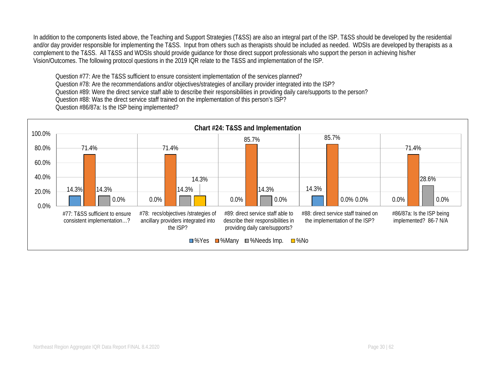In addition to the components listed above, the Teaching and Support Strategies (T&SS) are also an integral part of the ISP. T&SS should be developed by the residential and/or day provider responsible for implementing the T&SS. Input from others such as therapists should be included as needed. WDSIs are developed by therapists as a complement to the T&SS. All T&SS and WDSIs should provide guidance for those direct support professionals who support the person in achieving his/her Vision/Outcomes. The following protocol questions in the 2019 IQR relate to the T&SS and implementation of the ISP.

Question #77: Are the T&SS sufficient to ensure consistent implementation of the services planned? Question #78: Are the recommendations and/or objectives/strategies of ancillary provider integrated into the ISP? Question #89: Were the direct service staff able to describe their responsibilities in providing daily care/supports to the person? Question #88: Was the direct service staff trained on the implementation of this person's ISP? Question #86/87a: Is the ISP being implemented?

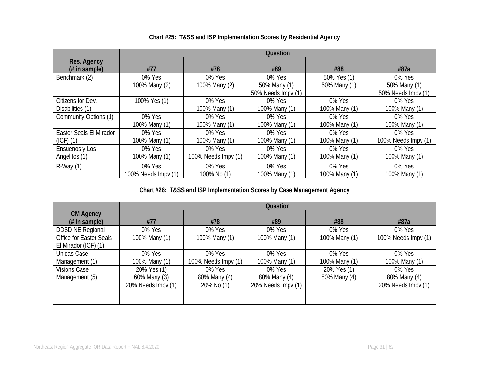|                         |                     |                     | Question           |               |                     |
|-------------------------|---------------------|---------------------|--------------------|---------------|---------------------|
| Res. Agency             |                     |                     |                    |               |                     |
| $#$ in sample)          | #77                 | #78                 | #89                | #88           | #87a                |
| Benchmark (2)           | 0% Yes              | 0% Yes              | 0% Yes             | 50% Yes (1)   | 0% Yes              |
|                         | 100% Many (2)       | 100% Many (2)       | 50% Many (1)       | 50% Many (1)  | 50% Many (1)        |
|                         |                     |                     | 50% Needs Impv (1) |               | 50% Needs Impv (1)  |
| Citizens for Dev.       | 100% Yes (1)        | 0% Yes              | 0% Yes             | $0\%$ Yes     | 0% Yes              |
| Disabilities (1)        |                     | 100% Many (1)       | 100% Many (1)      | 100% Many (1) | 100% Many (1)       |
| Community Options (1)   | 0% Yes              | 0% Yes              | 0% Yes             | 0% Yes        | 0% Yes              |
|                         | 100% Many (1)       | 100% Many (1)       | 100% Many (1)      | 100% Many (1) | 100% Many (1)       |
| Easter Seals El Mirador | 0% Yes              | 0% Yes              | 0% Yes             | 0% Yes        | 0% Yes              |
| $(ICF)$ $(1)$           | 100% Many (1)       | 100% Many (1)       | 100% Many (1)      | 100% Many (1) | 100% Needs Impv (1) |
| Ensuenos y Los          | 0% Yes              | 0% Yes              | 0% Yes             | 0% Yes        | 0% Yes              |
| Angelitos (1)           | 100% Many (1)       | 100% Needs Impv (1) | 100% Many (1)      | 100% Many (1) | 100% Many (1)       |
| $R-Way(1)$              | 0% Yes              | 0% Yes              | 0% Yes             | 0% Yes        | 0% Yes              |
|                         | 100% Needs Impy (1) | 100% No (1)         | 100% Many (1)      | 100% Many (1) | 100% Many (1)       |

# **Chart #25: T&SS and ISP Implementation Scores by Residential Agency**

**Chart #26: T&SS and ISP Implementation Scores by Case Management Agency**

|                                | Question           |                     |                    |               |                     |  |  |  |
|--------------------------------|--------------------|---------------------|--------------------|---------------|---------------------|--|--|--|
| <b>CM Agency</b>               |                    |                     |                    |               |                     |  |  |  |
| $#$ in sample)                 | #77                | #78                 | #89                | #88           | #87a                |  |  |  |
| <b>DDSD NE Regional</b>        | 0% Yes             | 0% Yes              | 0% Yes             | 0% Yes        | 0% Yes              |  |  |  |
| <b>Office for Easter Seals</b> | 100% Many (1)      | 100% Many (1)       | 100% Many (1)      | 100% Many (1) | 100% Needs Impv (1) |  |  |  |
| El Mirador (ICF) (1)           |                    |                     |                    |               |                     |  |  |  |
| Unidas Case                    | 0% Yes             | $0\%$ Yes           | 0% Yes             | 0% Yes        | 0% Yes              |  |  |  |
| Management (1)                 | 100% Many (1)      | 100% Needs Impv (1) | 100% Many (1)      | 100% Many (1) | 100% Many (1)       |  |  |  |
| <b>Visions Case</b>            | 20% Yes (1)        | 0% Yes              | 0% Yes             | 20% Yes (1)   | 0% Yes              |  |  |  |
| Management (5)                 | 60% Many (3)       | 80% Many (4)        | 80% Many (4)       | 80% Many (4)  | 80% Many (4)        |  |  |  |
|                                | 20% Needs Impv (1) | 20% No (1)          | 20% Needs Impv (1) |               | 20% Needs Impv (1)  |  |  |  |
|                                |                    |                     |                    |               |                     |  |  |  |
|                                |                    |                     |                    |               |                     |  |  |  |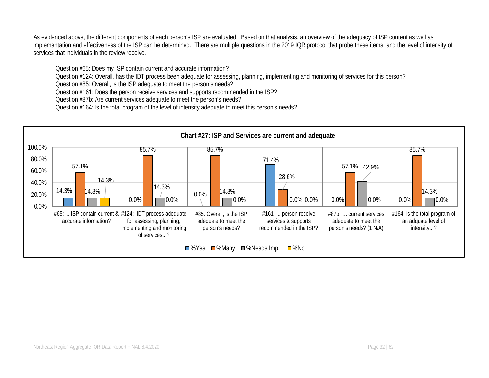As evidenced above, the different components of each person's ISP are evaluated. Based on that analysis, an overview of the adequacy of ISP content as well as implementation and effectiveness of the ISP can be determined. There are multiple questions in the 2019 IQR protocol that probe these items, and the level of intensity of services that individuals in the review receive.

Question #65: Does my ISP contain current and accurate information?

Question #124: Overall, has the IDT process been adequate for assessing, planning, implementing and monitoring of services for this person?

Question #85: Overall, is the ISP adequate to meet the person's needs?

Question #161: Does the person receive services and supports recommended in the ISP?

Question #87b: Are current services adequate to meet the person's needs?

Question #164: Is the total program of the level of intensity adequate to meet this person's needs?

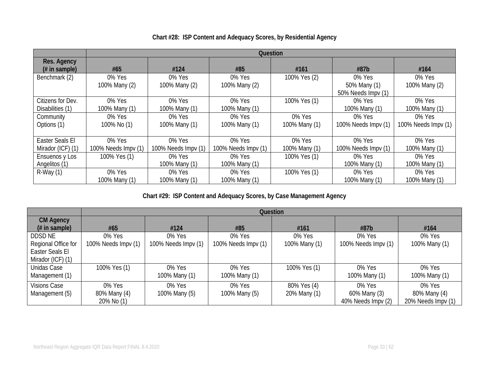|                               | Question            |                     |                     |               |                                    |                     |  |
|-------------------------------|---------------------|---------------------|---------------------|---------------|------------------------------------|---------------------|--|
| Res. Agency<br>$#$ in sample) | #65                 | #124                | #85                 | #161          | #87b                               | #164                |  |
| Benchmark (2)                 | 0% Yes              | 0% Yes              | 0% Yes              | 100% Yes (2)  | 0% Yes                             | 0% Yes              |  |
|                               | 100% Many (2)       | 100% Many (2)       | 100% Many (2)       |               | 50% Many (1)<br>50% Needs Impv (1) | 100% Many (2)       |  |
| Citizens for Dev.             | 0% Yes              | 0% Yes              | 0% Yes              | 100% Yes (1)  | 0% Yes                             | 0% Yes              |  |
| Disabilities (1)              | 100% Many (1)       | 100% Many (1)       | 100% Many (1)       |               | 100% Many (1)                      | 100% Many (1)       |  |
| Community                     | 0% Yes              | 0% Yes              | 0% Yes              | 0% Yes        | 0% Yes                             | 0% Yes              |  |
| Options (1)                   | 100% No (1)         | 100% Many (1)       | 100% Many (1)       | 100% Many (1) | 100% Needs Impv (1)                | 100% Needs Impv (1) |  |
| Easter Seals El               | 0% Yes              | 0% Yes              | 0% Yes              | 0% Yes        | 0% Yes                             | 0% Yes              |  |
| Mirador (ICF) (1)             | 100% Needs Impv (1) | 100% Needs Impv (1) | 100% Needs Impv (1) | 100% Many (1) | 100% Needs Impv (1)                | 100% Many (1)       |  |
| Ensuenos y Los                | 100% Yes (1)        | 0% Yes              | 0% Yes              | 100% Yes (1)  | 0% Yes                             | 0% Yes              |  |
| Angelitos (1)                 |                     | 100% Many (1)       | 100% Many (1)       |               | 100% Many (1)                      | 100% Many (1)       |  |
| $R-Way(1)$                    | 0% Yes              | 0% Yes              | 0% Yes              | 100% Yes (1)  | 0% Yes                             | 0% Yes              |  |
|                               | 100% Many (1)       | 100% Many (1)       | 100% Many (1)       |               | 100% Many (1)                      | 100% Many (1)       |  |

# **Chart #28: ISP Content and Adequacy Scores, by Residential Agency**

**Chart #29: ISP Content and Adequacy Scores, by Case Management Agency**

|                                    |                     | Question            |                     |               |                     |                    |  |  |
|------------------------------------|---------------------|---------------------|---------------------|---------------|---------------------|--------------------|--|--|
| <b>CM Agency</b><br>$#$ in sample) | #65                 | #124                | #85                 | #161          | #87b                | #164               |  |  |
| <b>DDSD NE</b>                     | 0% Yes              | 0% Yes              | 0% Yes              | 0% Yes        | 0% Yes              | 0% Yes             |  |  |
| Regional Office for                | 100% Needs Impv (1) | 100% Needs Impv (1) | 100% Needs Impv (1) | 100% Many (1) | 100% Needs Impv (1) | 100% Many (1)      |  |  |
| Easter Seals El                    |                     |                     |                     |               |                     |                    |  |  |
| Mirador (ICF) (1)                  |                     |                     |                     |               |                     |                    |  |  |
| Unidas Case                        | 100% Yes (1)        | 0% Yes              | 0% Yes              | 100% Yes (1)  | 0% Yes              | 0% Yes             |  |  |
| Management (1)                     |                     | 100% Many (1)       | 100% Many (1)       |               | 100% Many (1)       | 100% Many (1)      |  |  |
| <b>Visions Case</b>                | 0% Yes              | 0% Yes              | 0% Yes              | 80% Yes (4)   | 0% Yes              | 0% Yes             |  |  |
| Management (5)                     | 80% Many (4)        | 100% Many (5)       | 100% Many (5)       | 20% Many (1)  | 60% Many (3)        | 80% Many (4)       |  |  |
|                                    | 20% No (1)          |                     |                     |               | 40% Needs Impv (2)  | 20% Needs Impv (1) |  |  |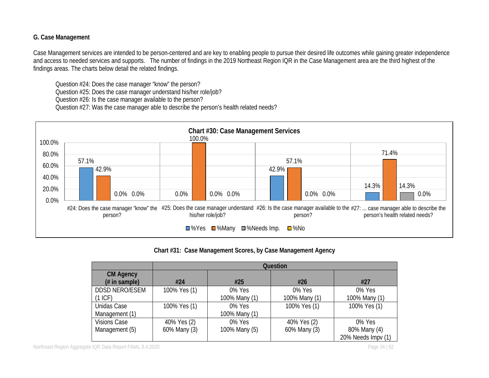## **G. Case Management**

Case Management services are intended to be person-centered and are key to enabling people to pursue their desired life outcomes while gaining greater independence and access to needed services and supports. The number of findings in the 2019 Northeast Region IQR in the Case Management area are the third highest of the findings areas. The charts below detail the related findings.

Question #24: Does the case manager "know" the person? Question #25: Does the case manager understand his/her role/job? Question #26: Is the case manager available to the person?

Question #27: Was the case manager able to describe the person's health related needs?



**Chart #31: Case Management Scores, by Case Management Agency**

|                       | <b>Question</b> |               |               |                    |  |  |  |
|-----------------------|-----------------|---------------|---------------|--------------------|--|--|--|
| <b>CM Agency</b>      |                 |               |               |                    |  |  |  |
| $#$ in sample)        | #24             | #25           | #26           | #27                |  |  |  |
| <b>DDSD NERO/ESEM</b> | 100% Yes (1)    | 0% Yes        | 0% Yes        | 0% Yes             |  |  |  |
| (1~ICF)               |                 | 100% Many (1) | 100% Many (1) | 100% Many (1)      |  |  |  |
| Unidas Case           | 100% Yes (1)    | 0% Yes        | 100% Yes (1)  | 100% Yes (1)       |  |  |  |
| Management (1)        |                 | 100% Many (1) |               |                    |  |  |  |
| <b>Visions Case</b>   | 40% Yes (2)     | $0\%$ Yes     | 40% Yes (2)   | 0% Yes             |  |  |  |
| Management (5)        | 60% Many (3)    | 100% Many (5) | 60% Many (3)  | 80% Many (4)       |  |  |  |
|                       |                 |               |               | 20% Needs Impv (1) |  |  |  |

Northeast Region Aggregate IQR Data Report FINAL 8.4.2020 **Page 34 | 62** Page 34 | 62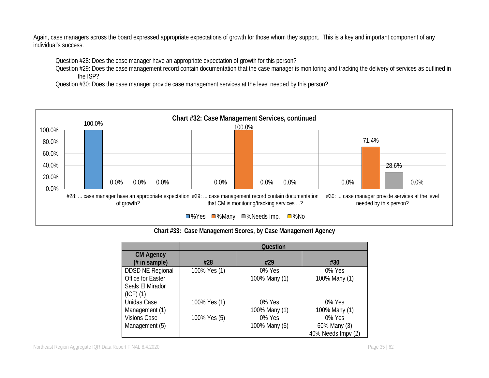Again, case managers across the board expressed appropriate expectations of growth for those whom they support. This is a key and important component of any individual's success.

Question #28: Does the case manager have an appropriate expectation of growth for this person?

Question #29: Does the case management record contain documentation that the case manager is monitoring and tracking the delivery of services as outlined in the ISP?

Question #30: Does the case manager provide case management services at the level needed by this person?



**Chart #33: Case Management Scores, by Case Management Agency**

|                                                                                   | <b>Question</b> |                         |                                              |  |  |  |
|-----------------------------------------------------------------------------------|-----------------|-------------------------|----------------------------------------------|--|--|--|
| <b>CM Agency</b><br>$#$ in sample)                                                | #28             | #29                     | #30                                          |  |  |  |
| <b>DDSD NE Regional</b><br>Office for Easter<br>Seals El Mirador<br>$(ICF)$ $(1)$ | 100% Yes (1)    | 0% Yes<br>100% Many (1) | 0% Yes<br>100% Many (1)                      |  |  |  |
| Unidas Case<br>Management (1)                                                     | 100% Yes (1)    | 0% Yes<br>100% Many (1) | 0% Yes<br>100% Many (1)                      |  |  |  |
| <b>Visions Case</b><br>Management (5)                                             | 100% Yes (5)    | 0% Yes<br>100% Many (5) | 0% Yes<br>60% Many (3)<br>40% Needs Impv (2) |  |  |  |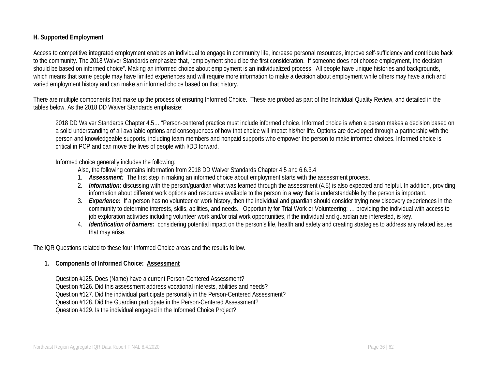#### **H. Supported Employment**

Access to competitive integrated employment enables an individual to engage in community life, increase personal resources, improve self-sufficiency and contribute back to the community. The 2018 Waiver Standards emphasize that, "employment should be the first consideration. If someone does not choose employment, the decision should be based on informed choice". Making an informed choice about employment is an individualized process. All people have unique histories and backgrounds, which means that some people may have limited experiences and will require more information to make a decision about employment while others may have a rich and varied employment history and can make an informed choice based on that history.

There are multiple components that make up the process of ensuring Informed Choice. These are probed as part of the Individual Quality Review, and detailed in the tables below. As the 2018 DD Waiver Standards emphasize:

2018 DD Waiver Standards Chapter 4.5… "Person-centered practice must include informed choice. Informed choice is when a person makes a decision based on a solid understanding of all available options and consequences of how that choice will impact his/her life. Options are developed through a partnership with the person and knowledgeable supports, including team members and nonpaid supports who empower the person to make informed choices. Informed choice is critical in PCP and can move the lives of people with I/DD forward.

#### Informed choice generally includes the following:

Also, the following contains information from 2018 DD Waiver Standards Chapter 4.5 and 6.6.3.4

- 1. *Assessment:* The first step in making an informed choice about employment starts with the assessment process.
- 2. *Information:* discussing with the person/guardian what was learned through the assessment (4.5) is also expected and helpful. In addition, providing information about different work options and resources available to the person in a way that is understandable by the person is important.
- 3. *Experience:* If a person has no volunteer or work history, then the individual and guardian should consider trying new discovery experiences in the community to determine interests, skills, abilities, and needs. Opportunity for Trial Work or Volunteering: … providing the individual with access to job exploration activities including volunteer work and/or trial work opportunities, if the individual and guardian are interested, is key.
- 4. *Identification of barriers:* considering potential impact on the person's life, health and safety and creating strategies to address any related issues that may arise.

The IQR Questions related to these four Informed Choice areas and the results follow.

#### **1. Components of Informed Choice: Assessment**

Question #125. Does (Name) have a current Person-Centered Assessment? Question #126. Did this assessment address vocational interests, abilities and needs? Question #127. Did the individual participate personally in the Person-Centered Assessment? Question #128. Did the Guardian participate in the Person-Centered Assessment? Question #129. Is the individual engaged in the Informed Choice Project?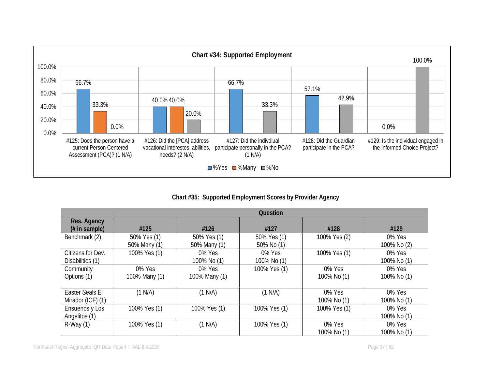

**Chart #35: Supported Employment Scores by Provider Agency**

|                                       |                             |                             | Question                  |                       |                       |
|---------------------------------------|-----------------------------|-----------------------------|---------------------------|-----------------------|-----------------------|
| Res. Agency<br>$#$ in sample)         | #125                        | #126                        | #127                      | #128                  | #129                  |
| Benchmark (2)                         | 50% Yes (1)<br>50% Many (1) | 50% Yes (1)<br>50% Many (1) | 50% Yes (1)<br>50% No (1) | 100% Yes (2)          | 0% Yes<br>100% No (2) |
| Citizens for Dev.<br>Disabilities (1) | 100% Yes (1)                | 0% Yes<br>100% No (1)       | 0% Yes<br>100% No (1)     | 100% Yes (1)          | 0% Yes<br>100% No (1) |
| Community<br>Options (1)              | 0% Yes<br>100% Many (1)     | 0% Yes<br>100% Many (1)     | 100% Yes (1)              | 0% Yes<br>100% No (1) | 0% Yes<br>100% No (1) |
| Easter Seals El<br>Mirador (ICF) (1)  | (1 N/A)                     | (1 N/A)                     | (1 N/A)                   | 0% Yes<br>100% No (1) | 0% Yes<br>100% No (1) |
| Ensuenos y Los<br>Angelitos (1)       | 100% Yes (1)                | 100% Yes (1)                | 100% Yes (1)              | 100% Yes (1)          | 0% Yes<br>100% No (1) |
| $R-Way(1)$                            | 100% Yes (1)                | (1 N/A)                     | 100% Yes (1)              | 0% Yes<br>100% No (1) | 0% Yes<br>100% No (1) |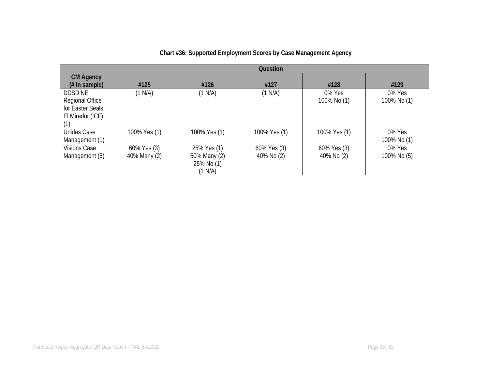|                        | Question     |              |              |              |             |  |  |
|------------------------|--------------|--------------|--------------|--------------|-------------|--|--|
| <b>CM Agency</b>       |              |              |              |              |             |  |  |
| $#$ in sample)         | #125         | #126         | #127         | #128         | #129        |  |  |
| <b>DDSD NE</b>         | (1 N/A)      | (1 N/A)      | (1 N/A)      | 0% Yes       | $0\%$ Yes   |  |  |
| <b>Regional Office</b> |              |              |              | 100% No (1)  | 100% No (1) |  |  |
| for Easter Seals       |              |              |              |              |             |  |  |
| El Mirador (ICF)       |              |              |              |              |             |  |  |
|                        |              |              |              |              |             |  |  |
| Unidas Case            | 100% Yes (1) | 100% Yes (1) | 100% Yes (1) | 100% Yes (1) | 0% Yes      |  |  |
| Management (1)         |              |              |              |              | 100% No (1) |  |  |
| <b>Visions Case</b>    | 60% Yes (3)  | 25% Yes (1)  | 60% Yes (3)  | 60% Yes (3)  | $0\%$ Yes   |  |  |
| Management (5)         | 40% Many (2) | 50% Many (2) | 40% No (2)   | 40% No (2)   | 100% No (5) |  |  |
|                        |              | 25% No (1)   |              |              |             |  |  |
|                        |              | (1 N/A)      |              |              |             |  |  |

# **Chart #36: Supported Employment Scores by Case Management Agency**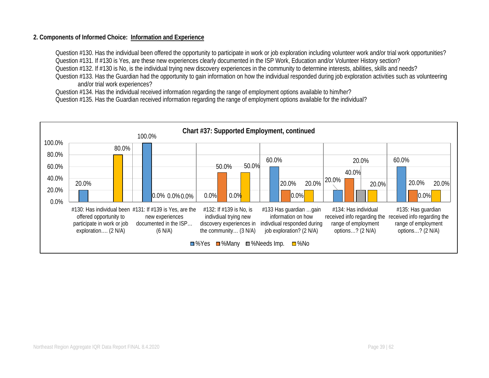#### **2. Components of Informed Choice: Information and Experience**

Question #130. Has the individual been offered the opportunity to participate in work or job exploration including volunteer work and/or trial work opportunities? Question #131. If #130 is Yes, are these new experiences clearly documented in the ISP Work, Education and/or Volunteer History section? Question #132. If #130 is No, is the individual trying new discovery experiences in the community to determine interests, abilities, skills and needs? Question #133. Has the Guardian had the opportunity to gain information on how the individual responded during job exploration activities such as volunteering and/or trial work experiences?

Question #134. Has the individual received information regarding the range of employment options available to him/her?

Question #135. Has the Guardian received information regarding the range of employment options available for the individual?

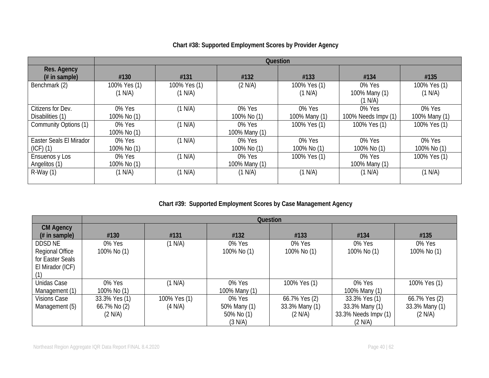|                                          | <b>Question</b>         |                         |                         |                         |                                    |                         |  |
|------------------------------------------|-------------------------|-------------------------|-------------------------|-------------------------|------------------------------------|-------------------------|--|
| Res. Agency<br>$#$ in sample)            | #130                    | #131                    | #132                    | #133                    | #134                               | #135                    |  |
| Benchmark (2)                            | 100% Yes (1)<br>(1 N/A) | 100% Yes (1)<br>(1 N/A) | (2 N/A)                 | 100% Yes (1)<br>(1 N/A) | 0% Yes<br>100% Many (1)<br>(1 N/A) | 100% Yes (1)<br>(1 N/A) |  |
| Citizens for Dev.<br>Disabilities (1)    | 0% Yes<br>100% No (1)   | (1 N/A)                 | 0% Yes<br>100% No (1)   | 0% Yes<br>100% Many (1) | 0% Yes<br>100% Needs Impy (1)      | 0% Yes<br>100% Many (1) |  |
| Community Options (1)                    | 0% Yes<br>100% No (1)   | (1 N/A)                 | 0% Yes<br>100% Many (1) | 100% Yes (1)            | 100% Yes (1)                       | 100% Yes (1)            |  |
| Easter Seals El Mirador<br>$(ICF)$ $(1)$ | 0% Yes<br>100% No (1)   | (1 N/A)                 | 0% Yes<br>100% No (1)   | 0% Yes<br>100% No (1)   | 0% Yes<br>100% No (1)              | 0% Yes<br>100% No (1)   |  |
| Ensuenos y Los<br>Angelitos (1)          | 0% Yes<br>100% No (1)   | (1 N/A)                 | 0% Yes<br>100% Many (1) | 100% Yes (1)            | 0% Yes<br>100% Many (1)            | 100% Yes (1)            |  |
| $R-Way(1)$                               | (1 N/A)                 | (1 N/A)                 | (1 N/A)                 | (1 N/A)                 | (1 N/A)                            | (1 N/A)                 |  |

# **Chart #38: Supported Employment Scores by Provider Agency**

# **Chart #39: Supported Employment Scores by Case Management Agency**

|                        | Question      |              |               |                |                      |                |  |
|------------------------|---------------|--------------|---------------|----------------|----------------------|----------------|--|
| <b>CM Agency</b>       |               |              |               |                |                      |                |  |
| $#$ in sample)         | #130          | #131         | #132          | #133           | #134                 | #135           |  |
| DDSD NE                | 0% Yes        | (1 N/A)      | 0% Yes        | 0% Yes         | 0% Yes               | 0% Yes         |  |
| <b>Regional Office</b> | 100% No (1)   |              | 100% No (1)   | 100% No (1)    | 100% No (1)          | 100% No (1)    |  |
| for Easter Seals       |               |              |               |                |                      |                |  |
| El Mirador (ICF)       |               |              |               |                |                      |                |  |
|                        |               |              |               |                |                      |                |  |
| Unidas Case            | 0% Yes        | (1 N/A)      | 0% Yes        | 100% Yes (1)   | 0% Yes               | 100% Yes (1)   |  |
| Management (1)         | 100% No (1)   |              | 100% Many (1) |                | 100% Many (1)        |                |  |
| <b>Visions Case</b>    | 33.3% Yes (1) | 100% Yes (1) | 0% Yes        | 66.7% Yes (2)  | 33.3% Yes (1)        | 66.7% Yes (2)  |  |
| Management (5)         | 66.7% No (2)  | (4 N/A)      | 50% Many (1)  | 33.3% Many (1) | 33.3% Many (1)       | 33.3% Many (1) |  |
|                        | (2 N/A)       |              | 50% No (1)    | (2 N/A)        | 33.3% Needs Impv (1) | (2 N/A)        |  |
|                        |               |              | (3 N/A)       |                | (2 N/A)              |                |  |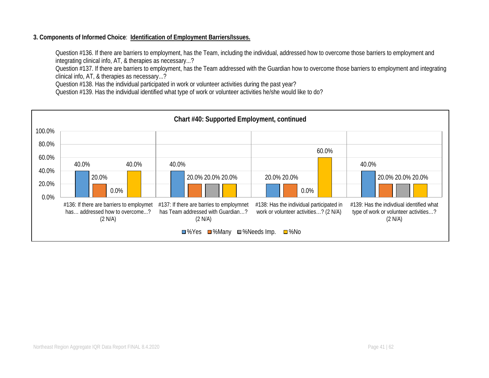#### **3. Components of Informed Choice**: **Identification of Employment Barriers/Issues.**

Question #136. If there are barriers to employment, has the Team, including the individual, addressed how to overcome those barriers to employment and integrating clinical info, AT, & therapies as necessary...?

Question #137. If there are barriers to employment, has the Team addressed with the Guardian how to overcome those barriers to employment and integrating clinical info, AT, & therapies as necessary...?

Question #138. Has the individual participated in work or volunteer activities during the past year?

Question #139. Has the individual identified what type of work or volunteer activities he/she would like to do?

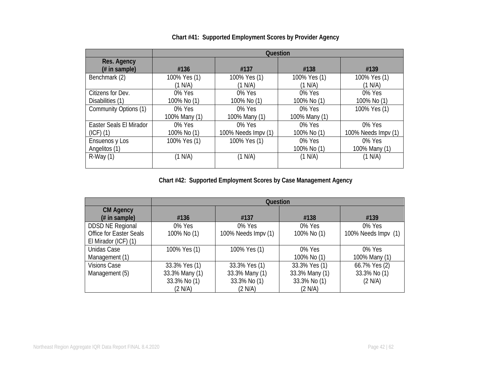|                         |               | <b>Question</b>     |               |                     |  |  |  |
|-------------------------|---------------|---------------------|---------------|---------------------|--|--|--|
| Res. Agency             |               |                     |               |                     |  |  |  |
| $#$ in sample)          | #136          | #137                | #138          | #139                |  |  |  |
| Benchmark (2)           | 100% Yes (1)  | 100% Yes (1)        | 100% Yes (1)  | 100% Yes (1)        |  |  |  |
|                         | (1 N/A)       | (1 N/A)             | (1 N/A)       | (1 N/A)             |  |  |  |
| Citizens for Dev.       | 0% Yes        | 0% Yes              | 0% Yes        | 0% Yes              |  |  |  |
| Disabilities (1)        | 100% No (1)   | 100% No (1)         | 100% No (1)   | 100% No (1)         |  |  |  |
| Community Options (1)   | 0% Yes        | 0% Yes              | 0% Yes        | 100% Yes (1)        |  |  |  |
|                         | 100% Many (1) | 100% Many (1)       | 100% Many (1) |                     |  |  |  |
| Easter Seals El Mirador | 0% Yes        | 0% Yes              | $0\%$ Yes     | 0% Yes              |  |  |  |
| $(ICF)$ $(1)$           | 100% No (1)   | 100% Needs Impv (1) | 100% No (1)   | 100% Needs Impv (1) |  |  |  |
| Ensuenos y Los          | 100% Yes (1)  | 100% Yes (1)        | 0% Yes        | 0% Yes              |  |  |  |
| Angelitos (1)           |               |                     | 100% No (1)   | 100% Many (1)       |  |  |  |
| $R-Way(1)$              | (1 N/A)       | (1 N/A)             | (1 N/A)       | (1 N/A)             |  |  |  |
|                         |               |                     |               |                     |  |  |  |

# **Chart #41: Supported Employment Scores by Provider Agency**

**Chart #42: Supported Employment Scores by Case Management Agency**

|                                |                | Question            |                |                     |
|--------------------------------|----------------|---------------------|----------------|---------------------|
| <b>CM Agency</b>               |                |                     |                |                     |
| $#$ in sample)                 | #136           | #137                | #138           | #139                |
| <b>DDSD NE Regional</b>        | 0% Yes         | 0% Yes              | 0% Yes         | 0% Yes              |
| <b>Office for Easter Seals</b> | 100% No (1)    | 100% Needs Impv (1) | 100% No (1)    | 100% Needs Impv (1) |
| El Mirador (ICF) (1)           |                |                     |                |                     |
| Unidas Case                    | 100% Yes (1)   | 100% Yes (1)        | 0% Yes         | 0% Yes              |
| Management (1)                 |                |                     | 100% No (1)    | 100% Many (1)       |
| <b>Visions Case</b>            | 33.3% Yes (1)  | 33.3% Yes (1)       | 33.3% Yes (1)  | 66.7% Yes (2)       |
| Management (5)                 | 33.3% Many (1) | 33.3% Many (1)      | 33.3% Many (1) | 33.3% No (1)        |
|                                | 33.3% No (1)   | 33.3% No (1)        | 33.3% No (1)   | (2 N/A)             |
|                                | (2 N/A)        | (2 N/A)             | (2 N/A)        |                     |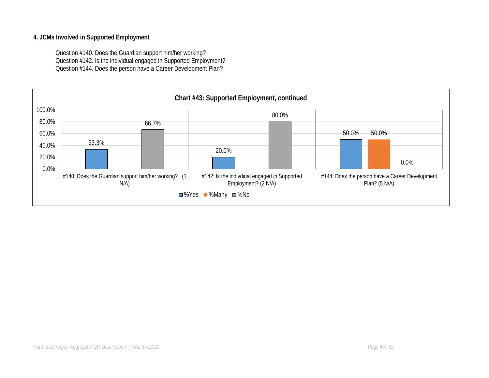#### **4. JCMs Involved in Supported Employment**

Question #140. Does the Guardian support him/her working? Question #142. Is the individual engaged in Supported Employment? Question #144. Does the person have a Career Development Plan?

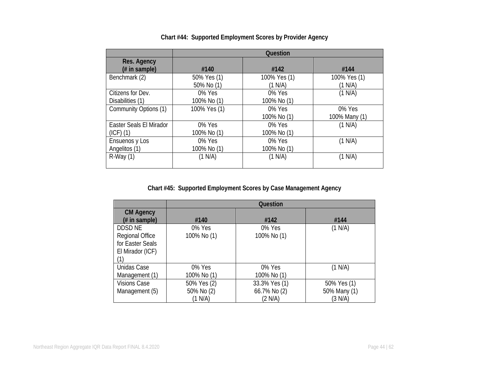|                         |              | Question     |               |
|-------------------------|--------------|--------------|---------------|
| Res. Agency             |              |              |               |
| (# in sample)           | #140         | #142         | #144          |
| Benchmark (2)           | 50% Yes (1)  | 100% Yes (1) | 100% Yes (1)  |
|                         | 50% No (1)   | (1 N/A)      | (1 N/A)       |
| Citizens for Dev.       | 0% Yes       | 0% Yes       | (1 N/A)       |
| Disabilities (1)        | 100% No (1)  | 100% No (1)  |               |
| Community Options (1)   | 100% Yes (1) | 0% Yes       | 0% Yes        |
|                         |              | 100% No (1)  | 100% Many (1) |
| Easter Seals El Mirador | 0% Yes       | 0% Yes       | (1 N/A)       |
| $(ICF)$ $(1)$           | 100% No (1)  | 100% No (1)  |               |
| Ensuenos y Los          | 0% Yes       | 0% Yes       | (1 N/A)       |
| Angelitos (1)           | 100% No (1)  | 100% No (1)  |               |
| $R-Way(1)$              | (1 N/A)      | (1 N/A)      | (1 N/A)       |
|                         |              |              |               |

# **Chart #44: Supported Employment Scores by Provider Agency**

**Chart #45: Supported Employment Scores by Case Management Agency**

|                        |             | Question      |              |
|------------------------|-------------|---------------|--------------|
| <b>CM Agency</b>       |             |               |              |
| $#$ in sample)         | #140        | #142          | #144         |
| DDSD NE                | 0% Yes      | 0% Yes        | (1 N/A)      |
| <b>Regional Office</b> | 100% No (1) | 100% No (1)   |              |
| for Easter Seals       |             |               |              |
| El Mirador (ICF)       |             |               |              |
| (1)                    |             |               |              |
| Unidas Case            | 0% Yes      | 0% Yes        | (1 N/A)      |
| Management (1)         | 100% No (1) | 100% No (1)   |              |
| <b>Visions Case</b>    | 50% Yes (2) | 33.3% Yes (1) | 50% Yes (1)  |
| Management (5)         | 50% No (2)  | 66.7% No (2)  | 50% Many (1) |
|                        | (1 N/A)     | (2 N/A)       | (3 N/A)      |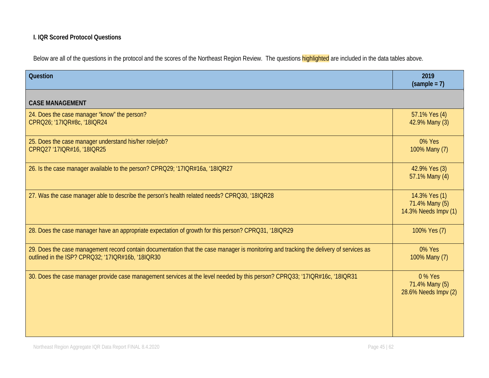# **I. IQR Scored Protocol Questions**

Below are all of the questions in the protocol and the scores of the Northeast Region Review. The questions **highlighted** are included in the data tables above.

| <b>Question</b>                                                                                                                                                                             | 2019<br>$(sample = 7)$                                  |
|---------------------------------------------------------------------------------------------------------------------------------------------------------------------------------------------|---------------------------------------------------------|
| <b>CASE MANAGEMENT</b>                                                                                                                                                                      |                                                         |
| 24. Does the case manager "know" the person?<br>CPRQ26; '17IQR#8c, '18IQR24                                                                                                                 | 57.1% Yes (4)<br>42.9% Many (3)                         |
| 25. Does the case manager understand his/her role/job?<br>CPRQ27 '17IQR#16, '18IQR25                                                                                                        | 0% Yes<br>100% Many (7)                                 |
| 26. Is the case manager available to the person? CPRQ29; '17IQR#16a, '18IQR27                                                                                                               | 42.9% Yes (3)<br>57.1% Many (4)                         |
| 27. Was the case manager able to describe the person's health related needs? CPRQ30, '18IQR28                                                                                               | 14.3% Yes (1)<br>71.4% Many (5)<br>14.3% Needs Impv (1) |
| 28. Does the case manager have an appropriate expectation of growth for this person? CPRQ31, '18IQR29                                                                                       | 100% Yes (7)                                            |
| 29. Does the case management record contain documentation that the case manager is monitoring and tracking the delivery of services as<br>outlined in the ISP? CPRQ32; '17IQR#16b, '18IQR30 | 0% Yes<br>100% Many (7)                                 |
| 30. Does the case manager provide case management services at the level needed by this person? CPRQ33; '17IQR#16c, '18IQR31                                                                 | 0 % Yes<br>71.4% Many (5)<br>28.6% Needs Impv (2)       |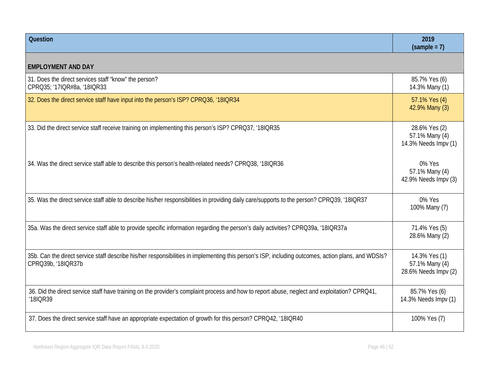| <b>Question</b>                                                                                                                                                           | 2019<br>$(sample = 7)$                                  |
|---------------------------------------------------------------------------------------------------------------------------------------------------------------------------|---------------------------------------------------------|
| <b>EMPLOYMENT AND DAY</b>                                                                                                                                                 |                                                         |
| 31. Does the direct services staff "know" the person?<br>CPRQ35; '17IQR#8a, '18IQR33                                                                                      | 85.7% Yes (6)<br>14.3% Many (1)                         |
| 32. Does the direct service staff have input into the person's ISP? CPRQ36, '18IQR34                                                                                      | 57.1% Yes (4)<br>42.9% Many (3)                         |
| 33. Did the direct service staff receive training on implementing this person's ISP? CPRQ37, '18IQR35                                                                     | 28.6% Yes (2)<br>57.1% Many (4)<br>14.3% Needs Impv (1) |
| 34. Was the direct service staff able to describe this person's health-related needs? CPRQ38, '18IQR36                                                                    | 0% Yes<br>57.1% Many (4)<br>42.9% Needs Impv (3)        |
| 35. Was the direct service staff able to describe his/her responsibilities in providing daily care/supports to the person? CPRQ39, '18IQR37                               | 0% Yes<br>100% Many (7)                                 |
| 35a. Was the direct service staff able to provide specific information regarding the person's daily activities? CPRQ39a, '18IQR37a                                        | 71.4% Yes (5)<br>28.6% Many (2)                         |
| 35b. Can the direct service staff describe his/her responsibilities in implementing this person's ISP, including outcomes, action plans, and WDSIs?<br>CPRQ39b, '18IQR37b | 14.3% Yes (1)<br>57.1% Many (4)<br>28.6% Needs Impv (2) |
| 36. Did the direct service staff have training on the provider's complaint process and how to report abuse, neglect and exploitation? CPRQ41,<br>'18IQR39                 | 85.7% Yes (6)<br>14.3% Needs Impv (1)                   |
| 37. Does the direct service staff have an appropriate expectation of growth for this person? CPRO42, '18IQR40                                                             | 100% Yes (7)                                            |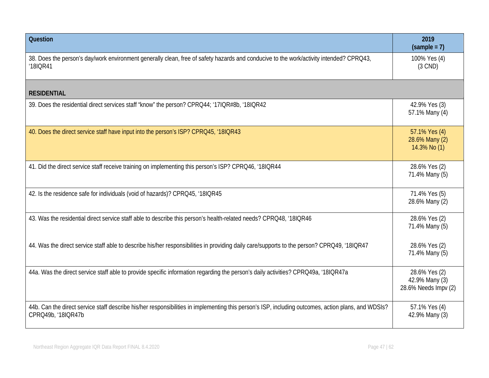| <b>Question</b>                                                                                                                                                           | 2019<br>$(sample = 7)$                                  |
|---------------------------------------------------------------------------------------------------------------------------------------------------------------------------|---------------------------------------------------------|
| 38. Does the person's day/work environment generally clean, free of safety hazards and conducive to the work/activity intended? CPRQ43,<br>'18IQR41                       | 100% Yes (4)<br>$(3$ CND)                               |
| <b>RESIDENTIAL</b>                                                                                                                                                        |                                                         |
| 39. Does the residential direct services staff "know" the person? CPRQ44; '17IQR#8b, '18IQR42                                                                             | 42.9% Yes (3)<br>57.1% Many (4)                         |
| 40. Does the direct service staff have input into the person's ISP? CPRQ45, '18IQR43                                                                                      | 57.1% Yes (4)<br>28.6% Many (2)<br>14.3% No (1)         |
| 41. Did the direct service staff receive training on implementing this person's ISP? CPRQ46, '18IQR44                                                                     | 28.6% Yes (2)<br>71.4% Many (5)                         |
| 42. Is the residence safe for individuals (void of hazards)? CPRQ45, '18IQR45                                                                                             | 71.4% Yes (5)<br>28.6% Many (2)                         |
| 43. Was the residential direct service staff able to describe this person's health-related needs? CPRQ48, '18IQR46                                                        | 28.6% Yes (2)<br>71.4% Many (5)                         |
| 44. Was the direct service staff able to describe his/her responsibilities in providing daily care/supports to the person? CPRQ49, '18IQR47                               | 28.6% Yes (2)<br>71.4% Many (5)                         |
| 44a. Was the direct service staff able to provide specific information regarding the person's daily activities? CPRQ49a, '18IQR47a                                        | 28.6% Yes (2)<br>42.9% Many (3)<br>28.6% Needs Impv (2) |
| 44b. Can the direct service staff describe his/her responsibilities in implementing this person's ISP, including outcomes, action plans, and WDSIs?<br>CPRQ49b, '18IQR47b | 57.1% Yes (4)<br>42.9% Many (3)                         |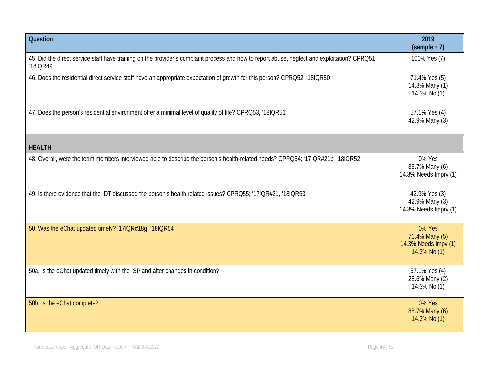| <b>Question</b>                                                                                                                                           | 2019<br>$(sample = 7)$                                           |
|-----------------------------------------------------------------------------------------------------------------------------------------------------------|------------------------------------------------------------------|
| 45. Did the direct service staff have training on the provider's complaint process and how to report abuse, neglect and exploitation? CPRQ51,<br>'18IQR49 | 100% Yes (7)                                                     |
| 46. Does the residential direct service staff have an appropriate expectation of growth for this person? CPRQ52, '18IQR50                                 | 71.4% Yes (5)<br>14.3% Many (1)<br>14.3% No (1)                  |
| 47. Does the person's residential environment offer a minimal level of quality of life? CPRQ53, '18IQR51                                                  | 57.1% Yes (4)<br>42.9% Many (3)                                  |
| <b>HEALTH</b>                                                                                                                                             |                                                                  |
| 48. Overall, were the team members interviewed able to describe the person's health-related needs? CPRQ54; '17IQR#21b, '18IQR52                           | 0% Yes<br>85.7% Many (6)<br>14.3% Needs Imprv (1)                |
| 49. Is there evidence that the IDT discussed the person's health related issues? CPRQ55; '17IQR#21, '18IQR53                                              | 42.9% Yes (3)<br>42.9% Many (3)<br>14.3% Needs Imprv (1)         |
| 50. Was the eChat updated timely? '17IQR#18g, '18IQR54                                                                                                    | 0% Yes<br>71.4% Many (5)<br>14.3% Needs Impv (1)<br>14.3% No (1) |
| 50a. Is the eChat updated timely with the ISP and after changes in condition?                                                                             | 57.1% Yes (4)<br>28.6% Many (2)<br>14.3% No (1)                  |
| 50b. Is the eChat complete?                                                                                                                               | 0% Yes<br>85.7% Many (6)<br>14.3% No (1)                         |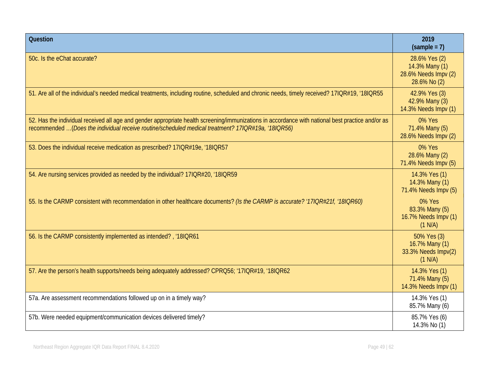| <b>Question</b>                                                                                                                                                                                                                                         | 2019<br>$(sample = 7)$                                                  |
|---------------------------------------------------------------------------------------------------------------------------------------------------------------------------------------------------------------------------------------------------------|-------------------------------------------------------------------------|
| 50c. Is the eChat accurate?                                                                                                                                                                                                                             | 28.6% Yes (2)<br>14.3% Many (1)<br>28.6% Needs Impv (2)<br>28.6% No (2) |
| 51. Are all of the individual's needed medical treatments, including routine, scheduled and chronic needs, timely received? 17IQR#19, '18IQR55                                                                                                          | 42.9% Yes (3)<br>42.9% Many (3)<br>14.3% Needs Impv (1)                 |
| 52. Has the individual received all age and gender appropriate health screening/immunizations in accordance with national best practice and/or as<br>recommended (Does the individual receive routine/scheduled medical treatment? 17IQR#19a, '18IQR56) | 0% Yes<br>71.4% Many (5)<br>28.6% Needs Impv (2)                        |
| 53. Does the individual receive medication as prescribed? 17IQR#19e, '18IQR57                                                                                                                                                                           | 0% Yes<br>28.6% Many (2)<br>71.4% Needs Impv (5)                        |
| 54. Are nursing services provided as needed by the individual? 17IQR#20, '18IQR59                                                                                                                                                                       | 14.3% Yes (1)<br>14.3% Many (1)<br>71.4% Needs Impv (5)                 |
| 55. Is the CARMP consistent with recommendation in other healthcare documents? (Is the CARMP is accurate? '17IQR#21f, '18IQR60)                                                                                                                         | 0% Yes<br>83.3% Many (5)<br>16.7% Needs Impv (1)<br>(1 N/A)             |
| 56. Is the CARMP consistently implemented as intended?, '18IQR61                                                                                                                                                                                        | 50% Yes (3)<br>16.7% Many (1)<br>33.3% Needs Impv(2)<br>(1 N/A)         |
| 57. Are the person's health supports/needs being adequately addressed? CPRQ56; '17IQR#19, '18IQR62                                                                                                                                                      | 14.3% Yes (1)<br>71.4% Many (5)<br>14.3% Needs Impv (1)                 |
| 57a. Are assessment recommendations followed up on in a timely way?                                                                                                                                                                                     | 14.3% Yes (1)<br>85.7% Many (6)                                         |
| 57b. Were needed equipment/communication devices delivered timely?                                                                                                                                                                                      | 85.7% Yes (6)<br>14.3% No (1)                                           |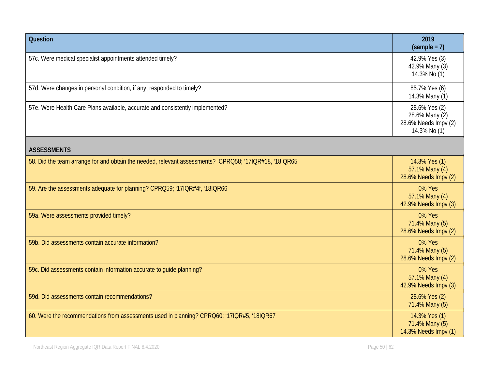| Question                                                                                              | 2019<br>$(sample = 7)$                                                  |
|-------------------------------------------------------------------------------------------------------|-------------------------------------------------------------------------|
| 57c. Were medical specialist appointments attended timely?                                            | 42.9% Yes (3)<br>42.9% Many (3)<br>14.3% No (1)                         |
| 57d. Were changes in personal condition, if any, responded to timely?                                 | 85.7% Yes (6)<br>14.3% Many (1)                                         |
| 57e. Were Health Care Plans available, accurate and consistently implemented?                         | 28.6% Yes (2)<br>28.6% Many (2)<br>28.6% Needs Impv (2)<br>14.3% No (1) |
| <b>ASSESSMENTS</b>                                                                                    |                                                                         |
| 58. Did the team arrange for and obtain the needed, relevant assessments? CPRQ58; '17IQR#18, '18IQR65 | 14.3% Yes (1)<br>57.1% Many (4)<br>28.6% Needs Impv (2)                 |
| 59. Are the assessments adequate for planning? CPRQ59; '17IQR#4f, '18IQR66                            | 0% Yes<br>57.1% Many (4)<br>42.9% Needs Impv (3)                        |
| 59a. Were assessments provided timely?                                                                | 0% Yes<br>71.4% Many (5)<br>28.6% Needs Impv (2)                        |
| 59b. Did assessments contain accurate information?                                                    | 0% Yes<br>71.4% Many (5)<br>28.6% Needs Impv (2)                        |
| 59c. Did assessments contain information accurate to guide planning?                                  | 0% Yes<br>57.1% Many (4)<br>42.9% Needs Impv (3)                        |
| 59d. Did assessments contain recommendations?                                                         | 28.6% Yes (2)<br>71.4% Many (5)                                         |
| 60. Were the recommendations from assessments used in planning? CPRQ60; '17IQR#5, '18IQR67            | 14.3% Yes (1)<br>71.4% Many (5)<br>14.3% Needs Impv (1)                 |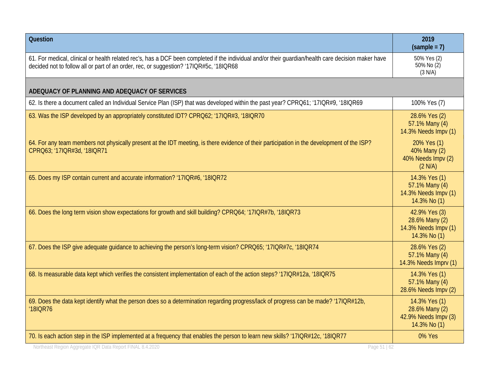| <b>Question</b>                                                                                                                                                                                                                               | 2019<br>$(sample = 7)$                                                  |
|-----------------------------------------------------------------------------------------------------------------------------------------------------------------------------------------------------------------------------------------------|-------------------------------------------------------------------------|
| 61. For medical, clinical or health related rec's, has a DCF been completed if the individual and/or their guardian/health care decision maker have<br>decided not to follow all or part of an order, rec, or suggestion? '17IQR#5c, '18IQR68 | 50% Yes (2)<br>50% No (2)<br>(3 N/A)                                    |
| ADEQUACY OF PLANNING AND ADEQUACY OF SERVICES                                                                                                                                                                                                 |                                                                         |
| 62. Is there a document called an Individual Service Plan (ISP) that was developed within the past year? CPRQ61; '17IQR#9, '18IQR69                                                                                                           | 100% Yes (7)                                                            |
| 63. Was the ISP developed by an appropriately constituted IDT? CPRQ62; '17IQR#3, '18IQR70                                                                                                                                                     | 28.6% Yes (2)<br>57.1% Many (4)<br>14.3% Needs Impv (1)                 |
| 64. For any team members not physically present at the IDT meeting, is there evidence of their participation in the development of the ISP?<br>CPRQ63; '17IQR#3d, '18IQR71                                                                    | 20% Yes (1)<br>40% Many (2)<br>40% Needs Impv (2)<br>(2 N/A)            |
| 65. Does my ISP contain current and accurate information? '17IQR#6, '18IQR72                                                                                                                                                                  | 14.3% Yes (1)<br>57.1% Many (4)<br>14.3% Needs Impv (1)<br>14.3% No (1) |
| 66. Does the long term vision show expectations for growth and skill building? CPRQ64; '17IQR#7b, '18IQR73                                                                                                                                    | 42.9% Yes (3)<br>28.6% Many (2)<br>14.3% Needs Impv (1)<br>14.3% No (1) |
| 67. Does the ISP give adequate guidance to achieving the person's long-term vision? CPRQ65; '17IQR#7c, '18IQR74                                                                                                                               | 28.6% Yes (2)<br>57.1% Many (4)<br>14.3% Needs Imprv (1)                |
| 68. Is measurable data kept which verifies the consistent implementation of each of the action steps? '17IQR#12a, '18IQR75                                                                                                                    | 14.3% Yes (1)<br>57.1% Many (4)<br>28.6% Needs Impv (2)                 |
| 69. Does the data kept identify what the person does so a determination regarding progress/lack of progress can be made? '17IQR#12b,<br>'18IQR76                                                                                              | 14.3% Yes (1)<br>28.6% Many (2)<br>42.9% Needs Impv (3)<br>14.3% No (1) |
| 70. Is each action step in the ISP implemented at a frequency that enables the person to learn new skills? '17IQR#12c, '18IQR77                                                                                                               | 0% Yes                                                                  |
| Northeast Region Aggregate IQR Data Report FINAL 8.4.2020<br>Page 51   62                                                                                                                                                                     |                                                                         |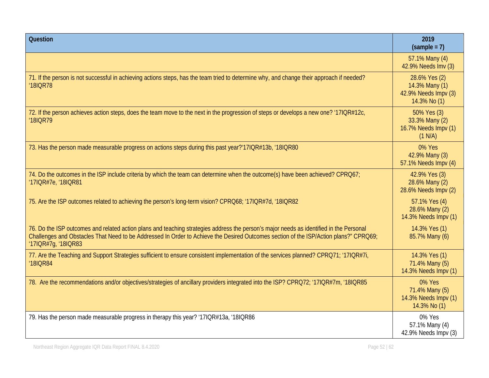| Question                                                                                                                                                                                                                                                                                                | 2019<br>$(sample = 7)$                                                  |
|---------------------------------------------------------------------------------------------------------------------------------------------------------------------------------------------------------------------------------------------------------------------------------------------------------|-------------------------------------------------------------------------|
|                                                                                                                                                                                                                                                                                                         | 57.1% Many (4)<br>42.9% Needs Imv (3)                                   |
| 71. If the person is not successful in achieving actions steps, has the team tried to determine why, and change their approach if needed?<br>'18IQR78                                                                                                                                                   | 28.6% Yes (2)<br>14.3% Many (1)<br>42.9% Needs Impv (3)<br>14.3% No (1) |
| 72. If the person achieves action steps, does the team move to the next in the progression of steps or develops a new one? '17IQR#12c,<br>'18IQR79                                                                                                                                                      | 50% Yes (3)<br>33.3% Many (2)<br>16.7% Needs Impv (1)<br>(1 N/A)        |
| 73. Has the person made measurable progress on actions steps during this past year?'17IQR#13b, '18IQR80                                                                                                                                                                                                 | 0% Yes<br>42.9% Many (3)<br>57.1% Needs Impv (4)                        |
| 74. Do the outcomes in the ISP include criteria by which the team can determine when the outcome(s) have been achieved? CPRQ67;<br>'17IQR#7e, '18IQR81                                                                                                                                                  | 42.9% Yes (3)<br>28.6% Many (2)<br>28.6% Needs Impv (2)                 |
| 75. Are the ISP outcomes related to achieving the person's long-term vision? CPRQ68; '17IQR#7d, '18IQR82                                                                                                                                                                                                | 57.1% Yes (4)<br>28.6% Many (2)<br>14.3% Needs Impv (1)                 |
| 76. Do the ISP outcomes and related action plans and teaching strategies address the person's major needs as identified in the Personal<br>Challenges and Obstacles That Need to be Addressed In Order to Achieve the Desired Outcomes section of the ISP/Action plans?" CPRQ69;<br>'17IQR#7g, '18IQR83 | 14.3% Yes (1)<br>85.7% Many (6)                                         |
| 77. Are the Teaching and Support Strategies sufficient to ensure consistent implementation of the services planned? CPRQ71; '17IQR#7i,<br>'18IQR84                                                                                                                                                      | 14.3% Yes (1)<br>71.4% Many (5)<br>14.3% Needs Impv (1)                 |
| 78. Are the recommendations and/or objectives/strategies of ancillary providers integrated into the ISP? CPRQ72; '17IQR#7m, '18IQR85                                                                                                                                                                    | 0% Yes<br>71.4% Many (5)<br>14.3% Needs Impv (1)<br>14.3% No (1)        |
| 79. Has the person made measurable progress in therapy this year? '17IQR#13a, '18IQR86                                                                                                                                                                                                                  | 0% Yes<br>57.1% Many (4)<br>42.9% Needs Impv (3)                        |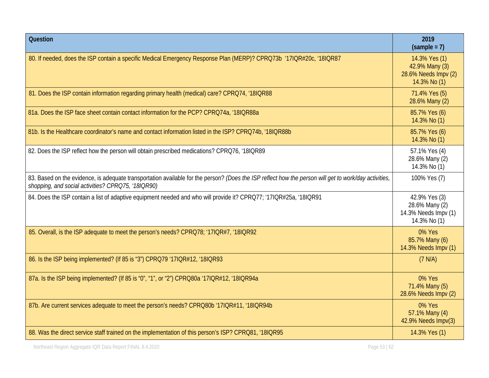| Question                                                                                                                                                                                                    | 2019<br>$(sample = 7)$                                                  |
|-------------------------------------------------------------------------------------------------------------------------------------------------------------------------------------------------------------|-------------------------------------------------------------------------|
| 80. If needed, does the ISP contain a specific Medical Emergency Response Plan (MERP)? CPRQ73b '17IQR#20c, '18IQR87                                                                                         | 14.3% Yes (1)<br>42.9% Many (3)<br>28.6% Needs Impv (2)<br>14.3% No (1) |
| 81. Does the ISP contain information regarding primary health (medical) care? CPRQ74, '18IQR88                                                                                                              | 71.4% Yes (5)<br>28.6% Many (2)                                         |
| 81a. Does the ISP face sheet contain contact information for the PCP? CPRQ74a, '18IQR88a                                                                                                                    | 85.7% Yes (6)<br>14.3% No (1)                                           |
| 81b. Is the Healthcare coordinator's name and contact information listed in the ISP? CPRQ74b, '18IQR88b                                                                                                     | 85.7% Yes (6)<br>14.3% No (1)                                           |
| 82. Does the ISP reflect how the person will obtain prescribed medications? CPRQ76, '18IQR89                                                                                                                | 57.1% Yes (4)<br>28.6% Many (2)<br>14.3% No (1)                         |
| 83. Based on the evidence, is adequate transportation available for the person? (Does the ISP reflect how the person will get to work/day activities,<br>shopping, and social activities? CPRQ75, '18IQR90) | 100% Yes (7)                                                            |
| 84. Does the ISP contain a list of adaptive equipment needed and who will provide it? CPRQ77; '17IQR#25a, '18IQR91                                                                                          | 42.9% Yes (3)<br>28.6% Many (2)<br>14.3% Needs Impv (1)<br>14.3% No (1) |
| 85. Overall, is the ISP adequate to meet the person's needs? CPRQ78; '17IQR#7, '18IQR92                                                                                                                     | 0% Yes<br>85.7% Many (6)<br>14.3% Needs Impv (1)                        |
| 86. Is the ISP being implemented? (If 85 is "3") CPRQ79 '17IQR#12, '18IQR93                                                                                                                                 | (7 N/A)                                                                 |
| 87a. Is the ISP being implemented? (If 85 is "0", "1", or "2") CPRQ80a '17IQR#12, '18IQR94a                                                                                                                 | 0% Yes<br>71.4% Many (5)<br>28.6% Needs Impv (2)                        |
| 87b. Are current services adequate to meet the person's needs? CPRQ80b '17IQR#11, '18IQR94b                                                                                                                 | 0% Yes<br>57.1% Many (4)<br>42.9% Needs Impv(3)                         |
| 88. Was the direct service staff trained on the implementation of this person's ISP? CPRQ81, '18IQR95                                                                                                       | 14.3% Yes (1)                                                           |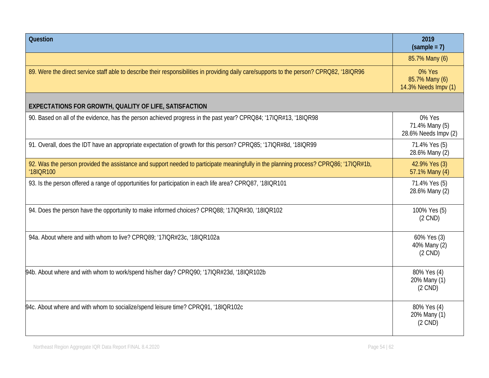| <b>Question</b>                                                                                                                                    | 2019<br>$(sample = 7)$                           |
|----------------------------------------------------------------------------------------------------------------------------------------------------|--------------------------------------------------|
|                                                                                                                                                    | 85.7% Many (6)                                   |
| 89. Were the direct service staff able to describe their responsibilities in providing daily care/supports to the person? CPRQ82, '18IQR96         | 0% Yes<br>85.7% Many (6)<br>14.3% Needs Impv (1) |
| EXPECTATIONS FOR GROWTH, QUALITY OF LIFE, SATISFACTION                                                                                             |                                                  |
| 90. Based on all of the evidence, has the person achieved progress in the past year? CPRQ84; '17IQR#13, '18IQR98                                   | 0% Yes<br>71.4% Many (5)<br>28.6% Needs Impv (2) |
| 91. Overall, does the IDT have an appropriate expectation of growth for this person? CPRQ85; '17IQR#8d, '18IQR99                                   | 71.4% Yes (5)<br>28.6% Many (2)                  |
| 92. Was the person provided the assistance and support needed to participate meaningfully in the planning process? CPRQ86; '17IQR#1b,<br>'18IQR100 | 42.9% Yes (3)<br>57.1% Many (4)                  |
| 93. Is the person offered a range of opportunities for participation in each life area? CPRQ87, '18IQR101                                          | 71.4% Yes (5)<br>28.6% Many (2)                  |
| 94. Does the person have the opportunity to make informed choices? CPRQ88; '17IQR#30, '18IQR102                                                    | 100% Yes (5)<br>$(2$ CND)                        |
| 94a. About where and with whom to live? CPRQ89; '17IQR#23c, '18IQR102a                                                                             | 60% Yes (3)<br>40% Many (2)<br>$(2$ CND)         |
| 94b. About where and with whom to work/spend his/her day? CPRQ90; '17IQR#23d, '18IQR102b                                                           | 80% Yes (4)<br>20% Many (1)<br>$(2$ CND)         |
| 94c. About where and with whom to socialize/spend leisure time? CPRQ91, '18IQR102c                                                                 | 80% Yes (4)<br>20% Many (1)<br>$(2$ CND)         |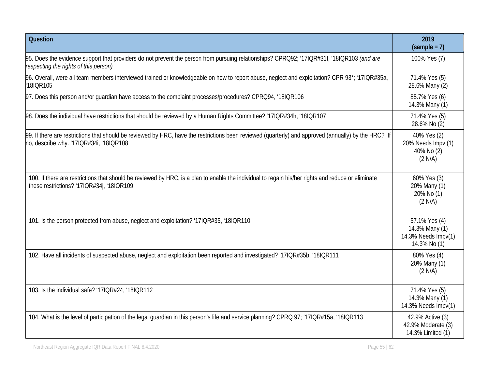| <b>Question</b>                                                                                                                                                                                 | 2019<br>$(sample = 7)$                                                 |
|-------------------------------------------------------------------------------------------------------------------------------------------------------------------------------------------------|------------------------------------------------------------------------|
| 95. Does the evidence support that providers do not prevent the person from pursuing relationships? CPRQ92; '17IQR#31f, '18IQR103 (and are<br>respecting the rights of this person)             | 100% Yes (7)                                                           |
| 96. Overall, were all team members interviewed trained or knowledgeable on how to report abuse, neglect and exploitation? CPR 93*; '17IQR#35a,<br>'18IQR105                                     | 71.4% Yes (5)<br>28.6% Many (2)                                        |
| 97. Does this person and/or quardian have access to the complaint processes/procedures? CPRQ94, '18IQR106                                                                                       | 85.7% Yes (6)<br>14.3% Many (1)                                        |
| 98. Does the individual have restrictions that should be reviewed by a Human Rights Committee? '17IQR#34h, '18IQR107                                                                            | 71.4% Yes (5)<br>28.6% No (2)                                          |
| 99. If there are restrictions that should be reviewed by HRC, have the restrictions been reviewed (quarterly) and approved (annually) by the HRC? If<br>no, describe why. '17IQR#34i, '18IQR108 | 40% Yes (2)<br>20% Needs Impv (1)<br>40% No (2)<br>(2 N/A)             |
| 100. If there are restrictions that should be reviewed by HRC, is a plan to enable the individual to regain his/her rights and reduce or eliminate<br>these restrictions? '17IQR#34j, '18IQR109 | 60% Yes (3)<br>20% Many (1)<br>20% No (1)<br>(2 N/A)                   |
| 101. Is the person protected from abuse, neglect and exploitation? '17IQR#35, '18IQR110                                                                                                         | 57.1% Yes (4)<br>14.3% Many (1)<br>14.3% Needs Impv(1)<br>14.3% No (1) |
| 102. Have all incidents of suspected abuse, neglect and exploitation been reported and investigated? '17IQR#35b, '18IQR111                                                                      | 80% Yes (4)<br>20% Many (1)<br>(2 N/A)                                 |
| 103. Is the individual safe? '17IQR#24, '18IQR112                                                                                                                                               | 71.4% Yes (5)<br>14.3% Many (1)<br>14.3% Needs Impv(1)                 |
| 104. What is the level of participation of the legal guardian in this person's life and service planning? CPRQ 97; '17IQR#15a, '18IQR113                                                        | 42.9% Active (3)<br>42.9% Moderate (3)<br>14.3% Limited (1)            |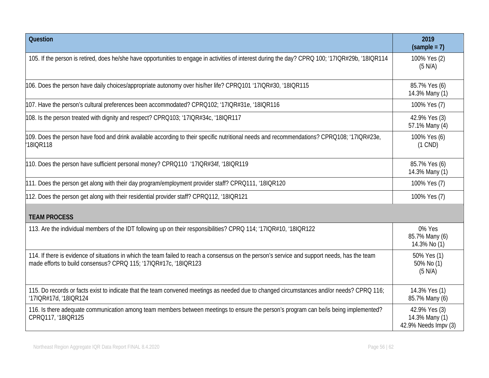| Question                                                                                                                                                                                                          | 2019<br>$(sample = 7)$                                  |
|-------------------------------------------------------------------------------------------------------------------------------------------------------------------------------------------------------------------|---------------------------------------------------------|
| 105. If the person is retired, does he/she have opportunities to engage in activities of interest during the day? CPRQ 100; '17IQR#29b, '18IQR114                                                                 | 100% Yes (2)<br>(5 N/A)                                 |
| 106. Does the person have daily choices/appropriate autonomy over his/her life? CPRQ101 '17IQR#30, '18IQR115                                                                                                      | 85.7% Yes (6)<br>14.3% Many (1)                         |
| 107. Have the person's cultural preferences been accommodated? CPRQ102; '17IQR#31e, '18IQR116                                                                                                                     | 100% Yes (7)                                            |
| 108. Is the person treated with dignity and respect? CPRQ103; '17IQR#34c, '18IQR117                                                                                                                               | 42.9% Yes (3)<br>57.1% Many (4)                         |
| 109. Does the person have food and drink available according to their specific nutritional needs and recommendations? CPRQ108; '17IQR#23e,<br>18IQR118                                                            | 100% Yes (6)<br>$(1$ CND)                               |
| 110. Does the person have sufficient personal money? CPRQ110 '17IQR#34f, '18IQR119                                                                                                                                | 85.7% Yes (6)<br>14.3% Many (1)                         |
| 111. Does the person get along with their day program/employment provider staff? CPRQ111, '18IQR120                                                                                                               | 100% Yes (7)                                            |
| 112. Does the person get along with their residential provider staff? CPRQ112, '18IQR121                                                                                                                          | 100% Yes (7)                                            |
| <b>TEAM PROCESS</b>                                                                                                                                                                                               |                                                         |
| 113. Are the individual members of the IDT following up on their responsibilities? CPRQ 114; '17IQR#10, '18IQR122                                                                                                 | 0% Yes<br>85.7% Many (6)<br>14.3% No (1)                |
| 114. If there is evidence of situations in which the team failed to reach a consensus on the person's service and support needs, has the team<br>made efforts to build consensus? CPRQ 115; '17IQR#17c, '18IQR123 | 50% Yes (1)<br>50% No (1)<br>(5 N/A)                    |
| 115. Do records or facts exist to indicate that the team convened meetings as needed due to changed circumstances and/or needs? CPRQ 116;<br>'17IQR#17d, '18IQR124                                                | 14.3% Yes (1)<br>85.7% Many (6)                         |
| 116. Is there adequate communication among team members between meetings to ensure the person's program can be/is being implemented?<br>CPRQ117, '18IQR125                                                        | 42.9% Yes (3)<br>14.3% Many (1)<br>42.9% Needs Impv (3) |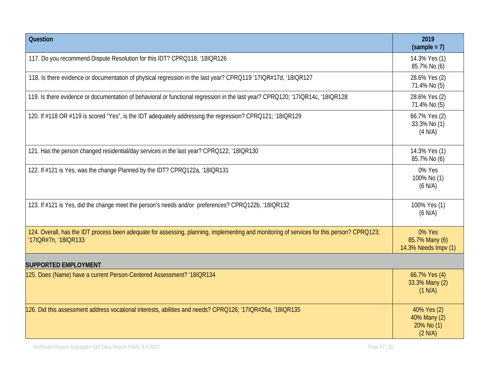| Question                                                                                                                                                           | 2019<br>$(sample = 7)$                               |
|--------------------------------------------------------------------------------------------------------------------------------------------------------------------|------------------------------------------------------|
| 117. Do you recommend Dispute Resolution for this IDT? CPRQ118, '18IQR126                                                                                          | 14.3% Yes (1)<br>85.7% No (6)                        |
| 118. Is there evidence or documentation of physical regression in the last year? CPRQ119 '17IQR#17d, '18IQR127                                                     | 28.6% Yes (2)<br>71.4% No (5)                        |
| 119. Is there evidence or documentation of behavioral or functional regression in the last year? CPRQ120; '17IQR14c, '18IQR128                                     | 28.6% Yes (2)<br>71.4% No (5)                        |
| 120. If #118 OR #119 is scored "Yes", is the IDT adequately addressing the regression? CPRO121; '18IQR129                                                          | 66.7% Yes (2)<br>33.3% No (1)<br>(4 N/A)             |
| 121. Has the person changed residential/day services in the last year? CPRQ122, '18IQR130                                                                          | 14.3% Yes (1)<br>85.7% No (6)                        |
| 122. If #121 is Yes, was the change Planned by the IDT? CPRQ122a, '18IQR131                                                                                        | 0% Yes<br>100% No (1)<br>$(6$ N/A)                   |
| 123. If #121 is Yes, did the change meet the person's needs and/or preferences? CPRQ122b, '18IQR132                                                                | 100% Yes (1)<br>$(6$ N/A)                            |
| 124. Overall, has the IDT process been adequate for assessing, planning, implementing and monitoring of services for this person? CPRQ123;<br>'17IQR#7n, '18IQR133 | 0% Yes<br>85.7% Many (6)<br>14.3% Needs Impv (1)     |
| <b>SUPPORTED EMPLOYMENT</b>                                                                                                                                        |                                                      |
| 125. Does (Name) have a current Person-Centered Assessment? '18IQR134                                                                                              | 66.7% Yes (4)<br>33.3% Many (2)<br>(1 N/A)           |
| 126. Did this assessment address vocational interests, abilities and needs? CPRQ126; '17IQR#26a, '18IQR135                                                         | 40% Yes (2)<br>40% Many (2)<br>20% No (1)<br>(2 N/A) |

Northeast Region Aggregate IQR Data Report FINAL 8.4.2020 **Page 57 | 62** Page 57 | 62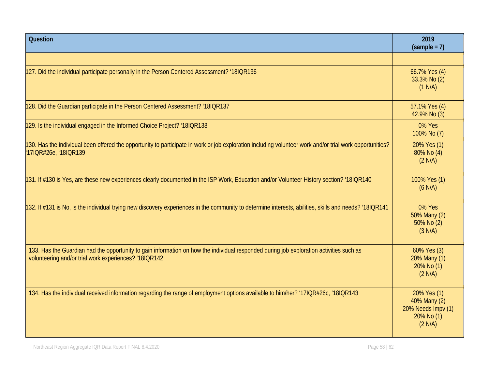| <b>Question</b>                                                                                                                                                                                  | 2019<br>$(sample = 7)$                                                     |
|--------------------------------------------------------------------------------------------------------------------------------------------------------------------------------------------------|----------------------------------------------------------------------------|
|                                                                                                                                                                                                  |                                                                            |
| 127. Did the individual participate personally in the Person Centered Assessment? '18IQR136                                                                                                      | 66.7% Yes (4)<br>33.3% No (2)<br>(1 N/A)                                   |
| 128. Did the Guardian participate in the Person Centered Assessment? '18IQR137                                                                                                                   | 57.1% Yes (4)<br>42.9% No (3)                                              |
| 129. Is the individual engaged in the Informed Choice Project? '18IQR138                                                                                                                         | 0% Yes<br>100% No (7)                                                      |
| 130. Has the individual been offered the opportunity to participate in work or job exploration including volunteer work and/or trial work opportunities?<br>'17IQR#26e, '18IQR139                | 20% Yes (1)<br>80% No (4)<br>(2 N/A)                                       |
| 131. If #130 is Yes, are these new experiences clearly documented in the ISP Work, Education and/or Volunteer History section? '18IQR140                                                         | 100% Yes (1)<br>(6 N/A)                                                    |
| 132. If #131 is No, is the individual trying new discovery experiences in the community to determine interests, abilities, skills and needs? '18IQR141                                           | 0% Yes<br>50% Many (2)<br>50% No (2)<br>(3 N/A)                            |
| 133. Has the Guardian had the opportunity to gain information on how the individual responded during job exploration activities such as<br>volunteering and/or trial work experiences? '18IQR142 | 60% Yes (3)<br>20% Many (1)<br>20% No (1)<br>(2 N/A)                       |
| 134. Has the individual received information regarding the range of employment options available to him/her? '17IQR#26c, '18IQR143                                                               | 20% Yes (1)<br>40% Many (2)<br>20% Needs Impv (1)<br>20% No (1)<br>(2 N/A) |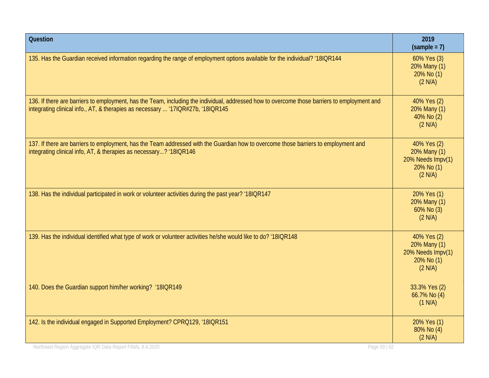| Question                                                                                                                                                                                                                        | 2019<br>$(sample = 7)$                                                    |
|---------------------------------------------------------------------------------------------------------------------------------------------------------------------------------------------------------------------------------|---------------------------------------------------------------------------|
| 135. Has the Guardian received information regarding the range of employment options available for the individual? '18IQR144                                                                                                    | 60% Yes (3)<br>20% Many (1)<br>20% No (1)<br>(2 N/A)                      |
| 136. If there are barriers to employment, has the Team, including the individual, addressed how to overcome those barriers to employment and<br>integrating clinical info., AT, & therapies as necessary  '17IQR#27b, '18IQR145 | 40% Yes (2)<br>20% Many (1)<br>40% No (2)<br>(2 N/A)                      |
| 137. If there are barriers to employment, has the Team addressed with the Guardian how to overcome those barriers to employment and<br>integrating clinical info, AT, & therapies as necessary? '18IQR146                       | 40% Yes (2)<br>20% Many (1)<br>20% Needs Impv(1)<br>20% No (1)<br>(2 N/A) |
| 138. Has the individual participated in work or volunteer activities during the past year? '18IQR147                                                                                                                            | 20% Yes (1)<br>20% Many (1)<br>60% No (3)<br>(2 N/A)                      |
| 139. Has the individual identified what type of work or volunteer activities he/she would like to do? '18IQR148                                                                                                                 | 40% Yes (2)<br>20% Many (1)<br>20% Needs Impv(1)<br>20% No (1)<br>(2 N/A) |
| 140. Does the Guardian support him/her working? '18IQR149                                                                                                                                                                       | 33.3% Yes (2)<br>66.7% No (4)<br>(1 N/A)                                  |
| 142. Is the individual engaged in Supported Employment? CPRQ129, '18IQR151                                                                                                                                                      | 20% Yes (1)<br>80% No (4)<br>(2 N/A)                                      |
| Northeast Region Aggregate IQR Data Report FINAL 8.4.2020<br>Page 59   62                                                                                                                                                       |                                                                           |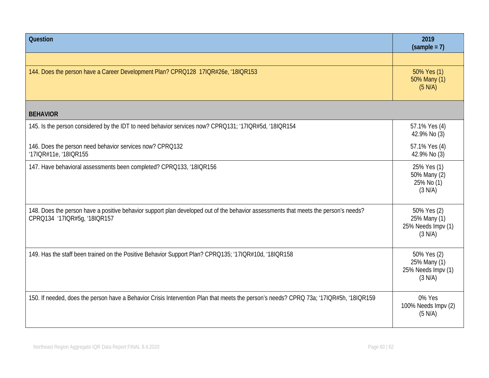| <b>Question</b>                                                                                                                                                     | 2019<br>$(sample = 7)$                                       |
|---------------------------------------------------------------------------------------------------------------------------------------------------------------------|--------------------------------------------------------------|
|                                                                                                                                                                     |                                                              |
| 144. Does the person have a Career Development Plan? CPRQ128 17IQR#26e, '18IQR153                                                                                   | 50% Yes (1)<br>50% Many (1)<br>(5 N/A)                       |
| <b>BEHAVIOR</b>                                                                                                                                                     |                                                              |
| 145. Is the person considered by the IDT to need behavior services now? CPRQ131; '17IQR#5d, '18IQR154                                                               | 57.1% Yes (4)<br>42.9% No (3)                                |
| 146. Does the person need behavior services now? CPRQ132<br>'17IQR#11e, '18IQR155                                                                                   | 57.1% Yes (4)<br>42.9% No (3)                                |
| 147. Have behavioral assessments been completed? CPRQ133, '18IQR156                                                                                                 | 25% Yes (1)<br>50% Many (2)<br>25% No (1)<br>(3 N/A)         |
| 148. Does the person have a positive behavior support plan developed out of the behavior assessments that meets the person's needs?<br>CPRQ134 '17IQR#5g, '18IQR157 | 50% Yes (2)<br>25% Many (1)<br>25% Needs Impv (1)<br>(3 N/A) |
| 149. Has the staff been trained on the Positive Behavior Support Plan? CPRQ135; '17IQR#10d, '18IQR158                                                               | 50% Yes (2)<br>25% Many (1)<br>25% Needs Impv (1)<br>(3 N/A) |
| 150. If needed, does the person have a Behavior Crisis Intervention Plan that meets the person's needs? CPRQ 73a; '17IQR#5h, '18IQR159                              | 0% Yes<br>100% Needs Impv (2)<br>(5 N/A)                     |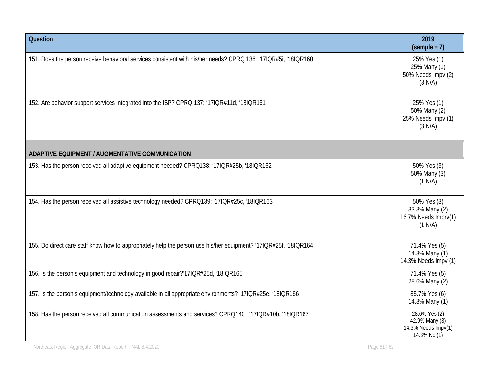| <b>Question</b>                                                                                                  | 2019<br>$(sample = 7)$                                                 |
|------------------------------------------------------------------------------------------------------------------|------------------------------------------------------------------------|
| 151. Does the person receive behavioral services consistent with his/her needs? CPRQ 136 '17IQR#5i, '18IQR160    | 25% Yes (1)<br>25% Many (1)<br>50% Needs Impv (2)<br>(3 N/A)           |
| 152. Are behavior support services integrated into the ISP? CPRQ 137; '17IQR#11d, '18IQR161                      | 25% Yes (1)<br>50% Many (2)<br>25% Needs Impv (1)<br>(3 N/A)           |
| ADAPTIVE EQUIPMENT / AUGMENTATIVE COMMUNICATION                                                                  |                                                                        |
| 153. Has the person received all adaptive equipment needed? CPRQ138; '17IQR#25b, '18IQR162                       | 50% Yes (3)<br>50% Many (3)<br>(1 N/A)                                 |
| 154. Has the person received all assistive technology needed? CPRQ139; '17IQR#25c, '18IQR163                     | 50% Yes (3)<br>33.3% Many (2)<br>16.7% Needs Imprv(1)<br>(1 N/A)       |
| 155. Do direct care staff know how to appropriately help the person use his/her equipment? '17IQR#25f, '18IQR164 | 71.4% Yes (5)<br>14.3% Many (1)<br>14.3% Needs Impv (1)                |
| 156. Is the person's equipment and technology in good repair?'17IQR#25d, '18IQR165                               | 71.4% Yes (5)<br>28.6% Many (2)                                        |
| 157. Is the person's equipment/technology available in all appropriate environments? '17IQR#25e, '18IQR166       | 85.7% Yes (6)<br>14.3% Many (1)                                        |
| 158. Has the person received all communication assessments and services? CPRQ140 ; '17IQR#10b, '18IQR167         | 28.6% Yes (2)<br>42.9% Many (3)<br>14.3% Needs Impv(1)<br>14.3% No (1) |